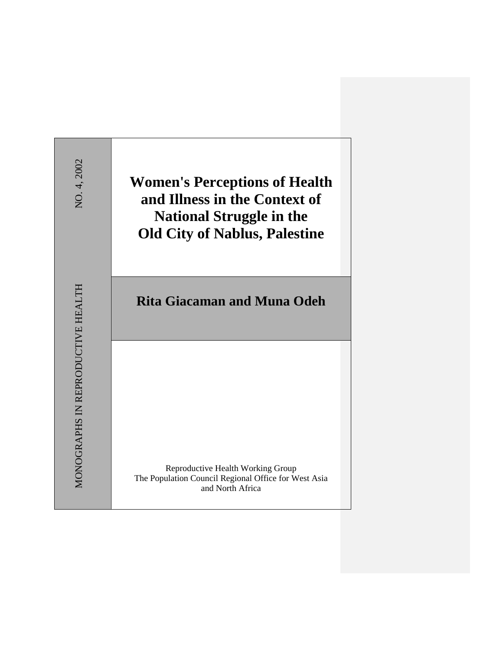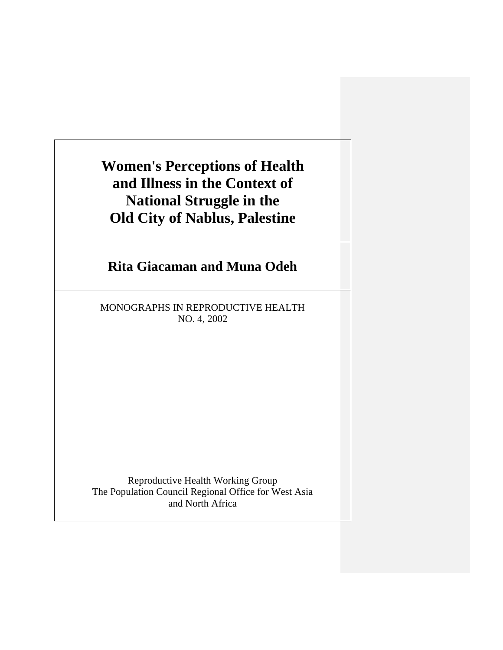**Women's Perceptions of Health and Illness in the Context of National Struggle in the Old City of Nablus, Palestine**

# **Rita Giacaman and Muna Odeh**

MONOGRAPHS IN REPRODUCTIVE HEALTH NO. 4, 2002

Reproductive Health Working Group The Population Council Regional Office for West Asia and North Africa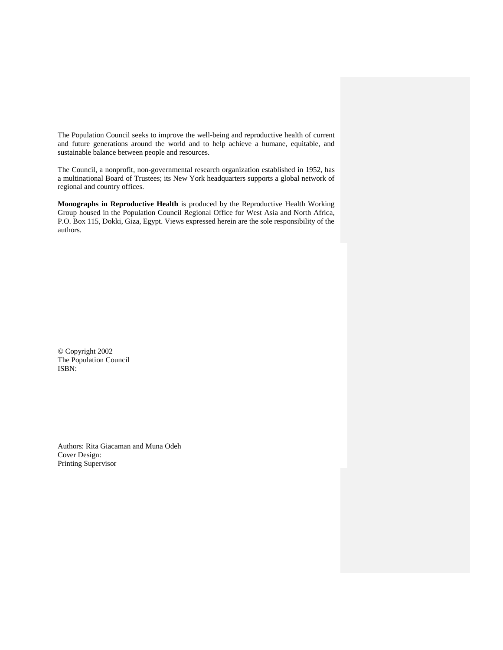The Population Council seeks to improve the well-being and reproductive health of current and future generations around the world and to help achieve a humane, equitable, and sustainable balance between people and resources.

The Council, a nonprofit, non-governmental research organization established in 1952, has a multinational Board of Trustees; its New York headquarters supports a global network of regional and country offices.

**Monographs in Reproductive Health** is produced by the Reproductive Health Working Group housed in the Population Council Regional Office for West Asia and North Africa, P.O. Box 115, Dokki, Giza, Egypt. Views expressed herein are the sole responsibility of the authors.

© Copyright 2002 The Population Council ISBN:

Authors: Rita Giacaman and Muna Odeh Cover Design: Printing Supervisor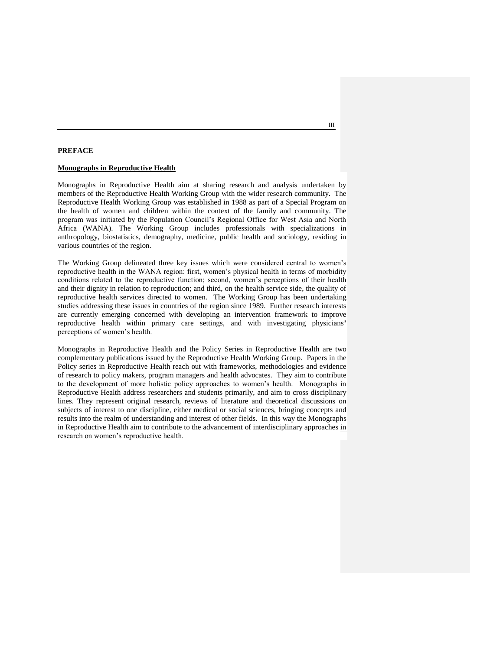## **PREFACE**

#### **Monographs in Reproductive Health**

Monographs in Reproductive Health aim at sharing research and analysis undertaken by members of the Reproductive Health Working Group with the wider research community. The Reproductive Health Working Group was established in 1988 as part of a Special Program on the health of women and children within the context of the family and community. The program was initiated by the Population Council"s Regional Office for West Asia and North Africa (WANA). The Working Group includes professionals with specializations in anthropology, biostatistics, demography, medicine, public health and sociology, residing in various countries of the region.

The Working Group delineated three key issues which were considered central to women"s reproductive health in the WANA region: first, women"s physical health in terms of morbidity conditions related to the reproductive function; second, women"s perceptions of their health and their dignity in relation to reproduction; and third, on the health service side, the quality of reproductive health services directed to women. The Working Group has been undertaking studies addressing these issues in countries of the region since 1989. Further research interests are currently emerging concerned with developing an intervention framework to improve reproductive health within primary care settings, and with investigating physicians**'**  perceptions of women"s health.

Monographs in Reproductive Health and the Policy Series in Reproductive Health are two complementary publications issued by the Reproductive Health Working Group. Papers in the Policy series in Reproductive Health reach out with frameworks, methodologies and evidence of research to policy makers, program managers and health advocates. They aim to contribute to the development of more holistic policy approaches to women"s health. Monographs in Reproductive Health address researchers and students primarily, and aim to cross disciplinary lines. They represent original research, reviews of literature and theoretical discussions on subjects of interest to one discipline, either medical or social sciences, bringing concepts and results into the realm of understanding and interest of other fields. In this way the Monographs in Reproductive Health aim to contribute to the advancement of interdisciplinary approaches in research on women"s reproductive health.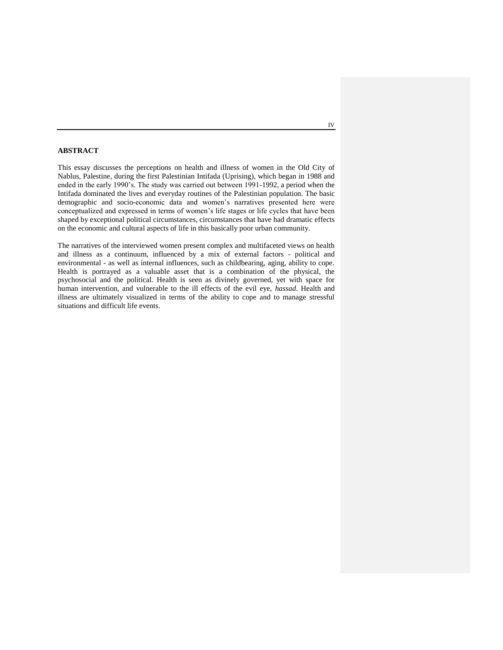# **ABSTRACT**

This essay discusses the perceptions on health and illness of women in the Old City of Nablus, Palestine, during the first Palestinian Intifada (Uprising), which began in 1988 and ended in the early 1990"s. The study was carried out between 1991-1992, a period when the Intifada dominated the lives and everyday routines of the Palestinian population. The basic demographic and socio-economic data and women"s narratives presented here were conceptualized and expressed in terms of women"s life stages or life cycles that have been shaped by exceptional political circumstances, circumstances that have had dramatic effects on the economic and cultural aspects of life in this basically poor urban community.

The narratives of the interviewed women present complex and multifaceted views on health and illness as a continuum, influenced by a mix of external factors - political and environmental - as well as internal influences, such as childbearing, aging, ability to cope. Health is portrayed as a valuable asset that is a combination of the physical, the psychosocial and the political. Health is seen as divinely governed, yet with space for human intervention, and vulnerable to the ill effects of the evil eye, *hassad*. Health and illness are ultimately visualized in terms of the ability to cope and to manage stressful situations and difficult life events.

IV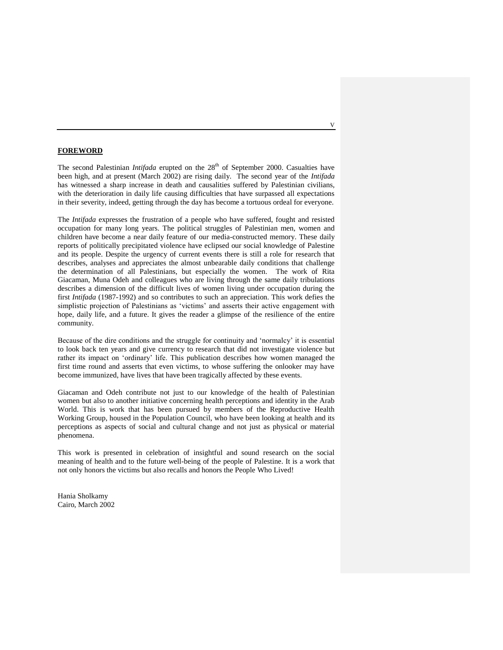## **FOREWORD**

The second Palestinian *Intifada* erupted on the 28<sup>th</sup> of September 2000. Casualties have been high, and at present (March 2002) are rising daily. The second year of the *Intifada* has witnessed a sharp increase in death and causalities suffered by Palestinian civilians, with the deterioration in daily life causing difficulties that have surpassed all expectations in their severity, indeed, getting through the day has become a tortuous ordeal for everyone.

The *Intifada* expresses the frustration of a people who have suffered, fought and resisted occupation for many long years. The political struggles of Palestinian men, women and children have become a near daily feature of our media-constructed memory. These daily reports of politically precipitated violence have eclipsed our social knowledge of Palestine and its people. Despite the urgency of current events there is still a role for research that describes, analyses and appreciates the almost unbearable daily conditions that challenge the determination of all Palestinians, but especially the women. The work of Rita Giacaman, Muna Odeh and colleagues who are living through the same daily tribulations describes a dimension of the difficult lives of women living under occupation during the first *Intifada* (1987-1992) and so contributes to such an appreciation. This work defies the simplistic projection of Palestinians as "victims" and asserts their active engagement with hope, daily life, and a future. It gives the reader a glimpse of the resilience of the entire community.

Because of the dire conditions and the struggle for continuity and "normalcy" it is essential to look back ten years and give currency to research that did not investigate violence but rather its impact on "ordinary" life. This publication describes how women managed the first time round and asserts that even victims, to whose suffering the onlooker may have become immunized, have lives that have been tragically affected by these events.

Giacaman and Odeh contribute not just to our knowledge of the health of Palestinian women but also to another initiative concerning health perceptions and identity in the Arab World. This is work that has been pursued by members of the Reproductive Health Working Group, housed in the Population Council, who have been looking at health and its perceptions as aspects of social and cultural change and not just as physical or material phenomena.

This work is presented in celebration of insightful and sound research on the social meaning of health and to the future well-being of the people of Palestine. It is a work that not only honors the victims but also recalls and honors the People Who Lived!

Hania Sholkamy Cairo, March 2002 V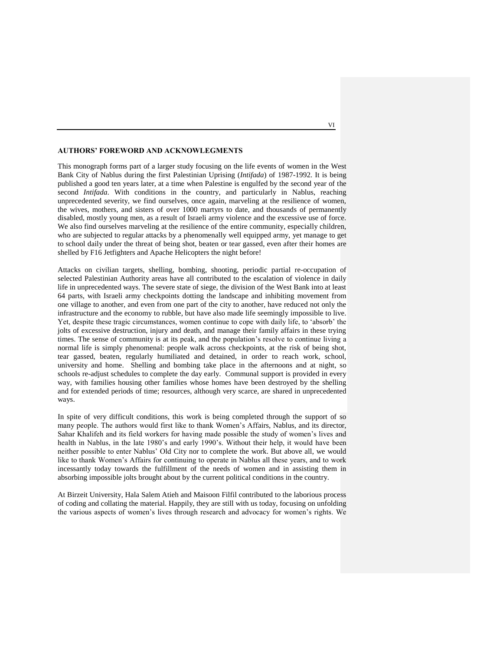## **AUTHORS' FOREWORD AND ACKNOWLEGMENTS**

This monograph forms part of a larger study focusing on the life events of women in the West Bank City of Nablus during the first Palestinian Uprising (*Intifada*) of 1987-1992. It is being published a good ten years later, at a time when Palestine is engulfed by the second year of the second *Intifada*. With conditions in the country, and particularly in Nablus, reaching unprecedented severity, we find ourselves, once again, marveling at the resilience of women, the wives, mothers, and sisters of over 1000 martyrs to date, and thousands of permanently disabled, mostly young men, as a result of Israeli army violence and the excessive use of force. We also find ourselves marveling at the resilience of the entire community, especially children, who are subjected to regular attacks by a phenomenally well equipped army, yet manage to get to school daily under the threat of being shot, beaten or tear gassed, even after their homes are shelled by F16 Jetfighters and Apache Helicopters the night before!

Attacks on civilian targets, shelling, bombing, shooting, periodic partial re-occupation of selected Palestinian Authority areas have all contributed to the escalation of violence in daily life in unprecedented ways. The severe state of siege, the division of the West Bank into at least 64 parts, with Israeli army checkpoints dotting the landscape and inhibiting movement from one village to another, and even from one part of the city to another, have reduced not only the infrastructure and the economy to rubble, but have also made life seemingly impossible to live. Yet, despite these tragic circumstances, women continue to cope with daily life, to "absorb" the jolts of excessive destruction, injury and death, and manage their family affairs in these trying times. The sense of community is at its peak, and the population"s resolve to continue living a normal life is simply phenomenal: people walk across checkpoints, at the risk of being shot, tear gassed, beaten, regularly humiliated and detained, in order to reach work, school, university and home. Shelling and bombing take place in the afternoons and at night, so schools re-adjust schedules to complete the day early. Communal support is provided in every way, with families housing other families whose homes have been destroyed by the shelling and for extended periods of time; resources, although very scarce, are shared in unprecedented ways.

In spite of very difficult conditions, this work is being completed through the support of so many people. The authors would first like to thank Women"s Affairs, Nablus, and its director, Sahar Khalifeh and its field workers for having made possible the study of women"s lives and health in Nablus, in the late 1980's and early 1990's. Without their help, it would have been neither possible to enter Nablus" Old City nor to complete the work. But above all, we would like to thank Women"s Affairs for continuing to operate in Nablus all these years, and to work incessantly today towards the fulfillment of the needs of women and in assisting them in absorbing impossible jolts brought about by the current political conditions in the country.

At Birzeit University, Hala Salem Atieh and Maisoon Filfil contributed to the laborious process of coding and collating the material. Happily, they are still with us today, focusing on unfolding the various aspects of women"s lives through research and advocacy for women"s rights. We

VI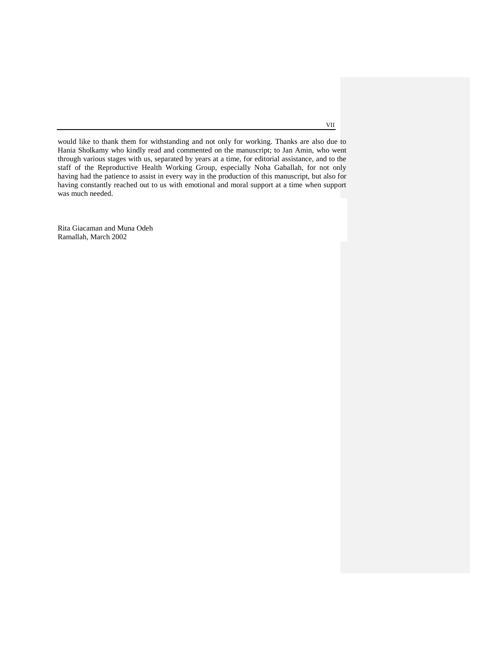would like to thank them for withstanding and not only for working. Thanks are also due to Hania Sholkamy who kindly read and commented on the manuscript; to Jan Amin, who went through various stages with us, separated by years at a time, for editorial assistance, and to the staff of the Reproductive Health Working Group, especially Noha Gaballah, for not only having had the patience to assist in every way in the production of this manuscript, but also for having constantly reached out to us with emotional and moral support at a time when support was much needed.

Rita Giacaman and Muna Odeh Ramallah, March 2002

VII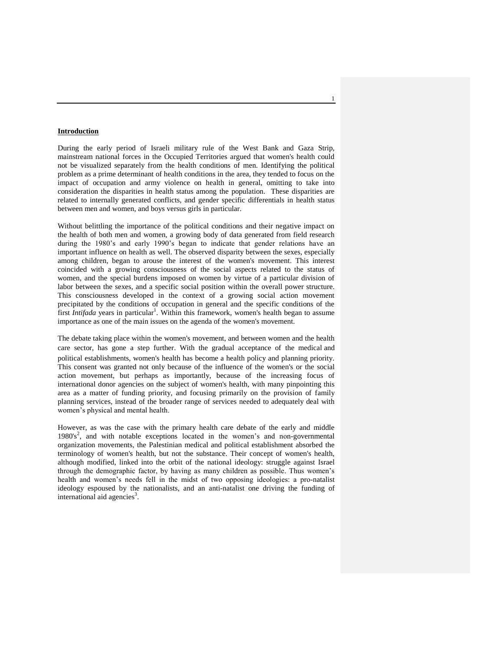## **Introduction**

During the early period of Israeli military rule of the West Bank and Gaza Strip, mainstream national forces in the Occupied Territories argued that women's health could not be visualized separately from the health conditions of men. Identifying the political problem as a prime determinant of health conditions in the area, they tended to focus on the impact of occupation and army violence on health in general, omitting to take into consideration the disparities in health status among the population. These disparities are related to internally generated conflicts, and gender specific differentials in health status between men and women, and boys versus girls in particular.

Without belittling the importance of the political conditions and their negative impact on the health of both men and women, a growing body of data generated from field research during the 1980's and early 1990's began to indicate that gender relations have an important influence on health as well. The observed disparity between the sexes, especially among children, began to arouse the interest of the women's movement. This interest coincided with a growing consciousness of the social aspects related to the status of women, and the special burdens imposed on women by virtue of a particular division of labor between the sexes, and a specific social position within the overall power structure. This consciousness developed in the context of a growing social action movement precipitated by the conditions of occupation in general and the specific conditions of the first *Intifada* years in particular<sup>1</sup>. Within this framework, women's health began to assume importance as one of the main issues on the agenda of the women's movement.

The debate taking place within the women's movement, and between women and the health care sector, has gone a step further. With the gradual acceptance of the medical and political establishments, women's health has become a health policy and planning priority. This consent was granted not only because of the influence of the women's or the social action movement, but perhaps as importantly, because of the increasing focus of international donor agencies on the subject of women's health, with many pinpointing this area as a matter of funding priority, and focusing primarily on the provision of family planning services, instead of the broader range of services needed to adequately deal with women"s physical and mental health.

However, as was the case with the primary health care debate of the early and middle 1980's<sup>2</sup>, and with notable exceptions located in the women's and non-governmental organization movements, the Palestinian medical and political establishment absorbed the terminology of women's health, but not the substance. Their concept of women's health, although modified, linked into the orbit of the national ideology: struggle against Israel through the demographic factor, by having as many children as possible. Thus women"s health and women"s needs fell in the midst of two opposing ideologies: a pro-natalist ideology espoused by the nationalists, and an anti-natalist one driving the funding of international aid agencies<sup>3</sup>.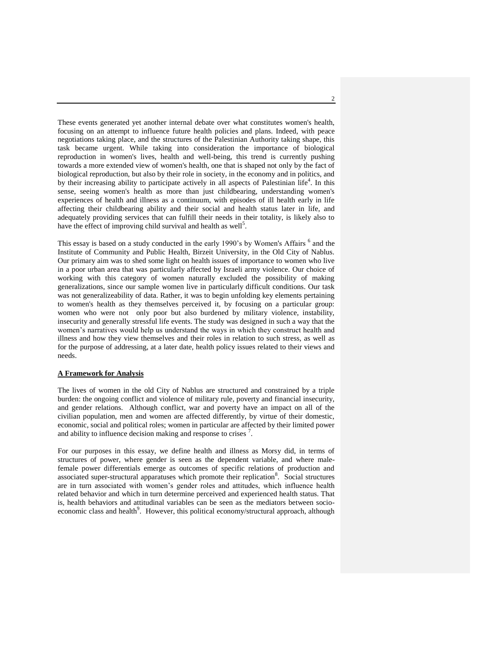These events generated yet another internal debate over what constitutes women's health, focusing on an attempt to influence future health policies and plans. Indeed, with peace negotiations taking place, and the structures of the Palestinian Authority taking shape, this task became urgent. While taking into consideration the importance of biological reproduction in women's lives, health and well-being, this trend is currently pushing towards a more extended view of women's health, one that is shaped not only by the fact of biological reproduction, but also by their role in society, in the economy and in politics, and by their increasing ability to participate actively in all aspects of Palestinian life<sup>4</sup>. In this sense, seeing women's health as more than just childbearing, understanding women's experiences of health and illness as a continuum, with episodes of ill health early in life affecting their childbearing ability and their social and health status later in life, and adequately providing services that can fulfill their needs in their totality, is likely also to have the effect of improving child survival and health as well<sup>5</sup>.

This essay is based on a study conducted in the early 1990's by Women's Affairs <sup>6</sup> and the Institute of Community and Public Health, Birzeit University, in the Old City of Nablus. Our primary aim was to shed some light on health issues of importance to women who live in a poor urban area that was particularly affected by Israeli army violence. Our choice of working with this category of women naturally excluded the possibility of making generalizations, since our sample women live in particularly difficult conditions. Our task was not generalizeability of data. Rather, it was to begin unfolding key elements pertaining to women's health as they themselves perceived it, by focusing on a particular group: women who were not only poor but also burdened by military violence, instability, insecurity and generally stressful life events. The study was designed in such a way that the women"s narratives would help us understand the ways in which they construct health and illness and how they view themselves and their roles in relation to such stress, as well as for the purpose of addressing, at a later date, health policy issues related to their views and needs.

## **A Framework for Analysis**

The lives of women in the old City of Nablus are structured and constrained by a triple burden: the ongoing conflict and violence of military rule, poverty and financial insecurity, and gender relations. Although conflict, war and poverty have an impact on all of the civilian population, men and women are affected differently, by virtue of their domestic, economic, social and political roles; women in particular are affected by their limited power and ability to influence decision making and response to crises  $<sup>7</sup>$ .</sup>

For our purposes in this essay, we define health and illness as Morsy did, in terms of structures of power, where gender is seen as the dependent variable, and where malefemale power differentials emerge as outcomes of specific relations of production and associated super-structural apparatuses which promote their replication<sup>8</sup>. Social structures are in turn associated with women"s gender roles and attitudes, which influence health related behavior and which in turn determine perceived and experienced health status. That is, health behaviors and attitudinal variables can be seen as the mediators between socioeconomic class and health<sup>9</sup>. However, this political economy/structural approach, although

 $\overline{2}$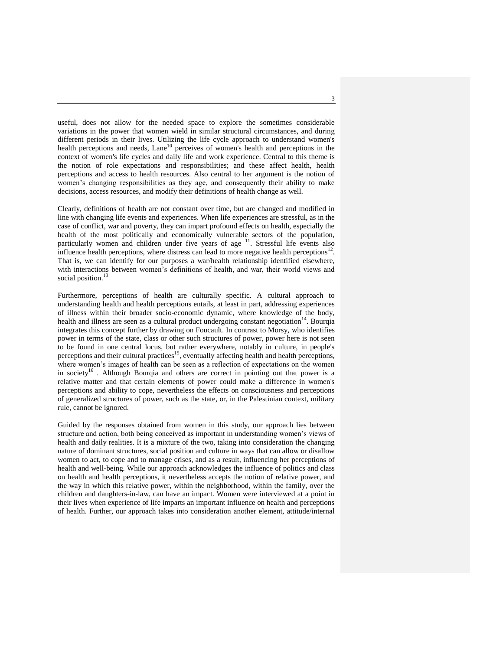useful, does not allow for the needed space to explore the sometimes considerable variations in the power that women wield in similar structural circumstances, and during different periods in their lives. Utilizing the life cycle approach to understand women's health perceptions and needs, Lane<sup>10</sup> perceives of women's health and perceptions in the context of women's life cycles and daily life and work experience. Central to this theme is the notion of role expectations and responsibilities; and these affect health, health perceptions and access to health resources. Also central to her argument is the notion of women"s changing responsibilities as they age, and consequently their ability to make decisions, access resources, and modify their definitions of health change as well.

Clearly, definitions of health are not constant over time, but are changed and modified in line with changing life events and experiences. When life experiences are stressful, as in the case of conflict, war and poverty, they can impart profound effects on health, especially the health of the most politically and economically vulnerable sectors of the population, particularly women and children under five years of age <sup>11</sup>. Stressful life events also influence health perceptions, where distress can lead to more negative health perceptions $^{12}$ . That is, we can identify for our purposes a war/health relationship identified elsewhere, with interactions between women"s definitions of health, and war, their world views and social position.<sup>1</sup>

Furthermore, perceptions of health are culturally specific. A cultural approach to understanding health and health perceptions entails, at least in part, addressing experiences of illness within their broader socio-economic dynamic, where knowledge of the body, health and illness are seen as a cultural product undergoing constant negotiation $14$ . Bourqia integrates this concept further by drawing on Foucault. In contrast to Morsy, who identifies power in terms of the state, class or other such structures of power, power here is not seen to be found in one central locus, but rather everywhere, notably in culture, in people's perceptions and their cultural practices<sup>15</sup>, eventually affecting health and health perceptions, where women's images of health can be seen as a reflection of expectations on the women in society<sup>16</sup>. Although Bourqia and others are correct in pointing out that power is a relative matter and that certain elements of power could make a difference in women's perceptions and ability to cope, nevertheless the effects on consciousness and perceptions of generalized structures of power, such as the state, or, in the Palestinian context, military rule, cannot be ignored.

Guided by the responses obtained from women in this study, our approach lies between structure and action, both being conceived as important in understanding women"s views of health and daily realities. It is a mixture of the two, taking into consideration the changing nature of dominant structures, social position and culture in ways that can allow or disallow women to act, to cope and to manage crises, and as a result, influencing her perceptions of health and well-being*.* While our approach acknowledges the influence of politics and class on health and health perceptions, it nevertheless accepts the notion of relative power, and the way in which this relative power, within the neighborhood, within the family, over the children and daughters-in-law, can have an impact. Women were interviewed at a point in their lives when experience of life imparts an important influence on health and perceptions of health. Further, our approach takes into consideration another element, attitude/internal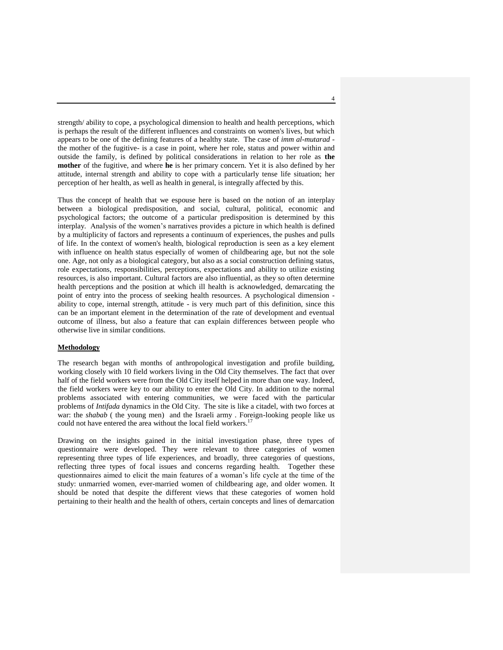strength/ ability to cope, a psychological dimension to health and health perceptions, which is perhaps the result of the different influences and constraints on women's lives, but which appears to be one of the defining features of a healthy state. The case of *imm al-mutarad* the mother of the fugitive- is a case in point, where her role, status and power within and outside the family, is defined by political considerations in relation to her role as **the mother** of the fugitive, and where **he** is her primary concern. Yet it is also defined by her attitude, internal strength and ability to cope with a particularly tense life situation; her perception of her health, as well as health in general, is integrally affected by this.

Thus the concept of health that we espouse here is based on the notion of an interplay between a biological predisposition, and social, cultural, political, economic and psychological factors; the outcome of a particular predisposition is determined by this interplay. Analysis of the women"s narratives provides a picture in which health is defined by a multiplicity of factors and represents a continuum of experiences, the pushes and pulls of life. In the context of women's health, biological reproduction is seen as a key element with influence on health status especially of women of childbearing age, but not the sole one. Age, not only as a biological category, but also as a social construction defining status, role expectations, responsibilities, perceptions, expectations and ability to utilize existing resources, is also important. Cultural factors are also influential, as they so often determine health perceptions and the position at which ill health is acknowledged, demarcating the point of entry into the process of seeking health resources. A psychological dimension ability to cope, internal strength, attitude - is very much part of this definition, since this can be an important element in the determination of the rate of development and eventual outcome of illness, but also a feature that can explain differences between people who otherwise live in similar conditions.

## **Methodology**

The research began with months of anthropological investigation and profile building, working closely with 10 field workers living in the Old City themselves. The fact that over half of the field workers were from the Old City itself helped in more than one way. Indeed, the field workers were key to our ability to enter the Old City. In addition to the normal problems associated with entering communities, we were faced with the particular problems of *Intifada* dynamics in the Old City. The site is like a citadel, with two forces at war: the *shabab* ( the young men) and the Israeli army . Foreign-looking people like us could not have entered the area without the local field workers.<sup>1</sup>

Drawing on the insights gained in the initial investigation phase, three types of questionnaire were developed. They were relevant to three categories of women representing three types of life experiences, and broadly, three categories of questions, reflecting three types of focal issues and concerns regarding health*.* Together these questionnaires aimed to elicit the main features of a woman"s life cycle at the time of the study: unmarried women, ever-married women of childbearing age, and older women. It should be noted that despite the different views that these categories of women hold pertaining to their health and the health of others, certain concepts and lines of demarcation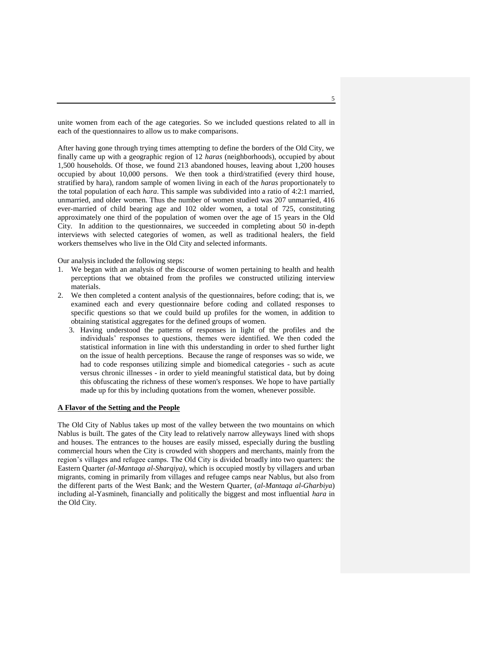unite women from each of the age categories. So we included questions related to all in each of the questionnaires to allow us to make comparisons.

After having gone through trying times attempting to define the borders of the Old City, we finally came up with a geographic region of 12 *haras* (neighborhoods), occupied by about 1,500 households. Of those, we found 213 abandoned houses, leaving about 1,200 houses occupied by about 10,000 persons. We then took a third/stratified (every third house, stratified by hara), random sample of women living in each of the *haras* proportionately to the total population of each *hara*. This sample was subdivided into a ratio of 4:2:1 married, unmarried, and older women. Thus the number of women studied was 207 unmarried, 416 ever-married of child bearing age and 102 older women, a total of 725, constituting approximately one third of the population of women over the age of 15 years in the Old City. In addition to the questionnaires, we succeeded in completing about 50 in-depth interviews with selected categories of women, as well as traditional healers, the field workers themselves who live in the Old City and selected informants.

Our analysis included the following steps:

- 1. We began with an analysis of the discourse of women pertaining to health and health perceptions that we obtained from the profiles we constructed utilizing interview materials.
- 2. We then completed a content analysis of the questionnaires, before coding; that is, we examined each and every questionnaire before coding and collated responses to specific questions so that we could build up profiles for the women, in addition to obtaining statistical aggregates for the defined groups of women.
	- 3. Having understood the patterns of responses in light of the profiles and the individuals" responses to questions, themes were identified. We then coded the statistical information in line with this understanding in order to shed further light on the issue of health perceptions. Because the range of responses was so wide, we had to code responses utilizing simple and biomedical categories - such as acute versus chronic illnesses - in order to yield meaningful statistical data, but by doing this obfuscating the richness of these women's responses. We hope to have partially made up for this by including quotations from the women, whenever possible.

#### **A Flavor of the Setting and the People**

The Old City of Nablus takes up most of the valley between the two mountains on which Nablus is built. The gates of the City lead to relatively narrow alleyways lined with shops and houses. The entrances to the houses are easily missed, especially during the bustling commercial hours when the City is crowded with shoppers and merchants, mainly from the region"s villages and refugee camps. The Old City is divided broadly into two quarters: the Eastern Quarter *(al-Mantaqa al-Sharqiya)*, which is occupied mostly by villagers and urban migrants, coming in primarily from villages and refugee camps near Nablus, but also from the different parts of the West Bank; and the Western Quarter, (*al-Mantaqa al-Gharbiya*) including al-Yasmineh, financially and politically the biggest and most influential *hara* in the Old City.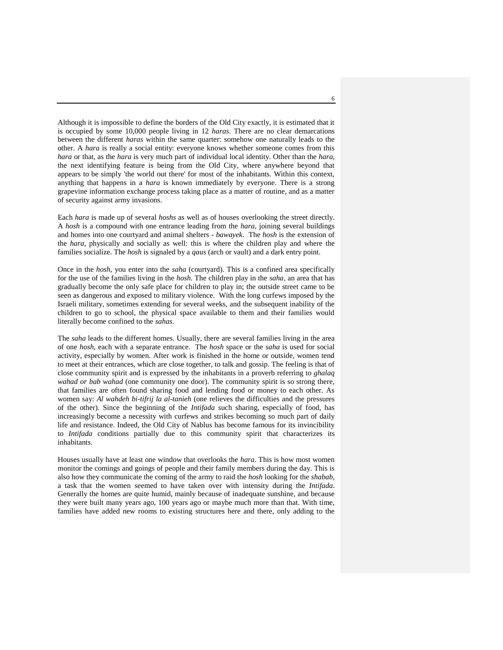Although it is impossible to define the borders of the Old City exactly, it is estimated that it is occupied by some 10,000 people living in 12 *haras*. There are no clear demarcations between the different *haras* within the same quarter: somehow one naturally leads to the other. A *hara* is really a social entity: everyone knows whether someone comes from this *hara* or that, as the *hara* is very much part of individual local identity. Other than the *hara*, the next identifying feature is being from the Old City, where anywhere beyond that appears to be simply 'the world out there' for most of the inhabitants. Within this context, anything that happens in a *hara* is known immediately by everyone. There is a strong grapevine information exchange process taking place as a matter of routine, and as a matter of security against army invasions.

Each *hara* is made up of several *hoshs* as well as of houses overlooking the street directly. A *hosh* is a compound with one entrance leading from the *hara*, joining several buildings and homes into one courtyard and animal shelters *- bawayek*. The *hosh* is the extension of the *hara*, physically and socially as well: this is where the children play and where the families socialize. The *hosh* is signaled by a *qaus* (arch or vault) and a dark entry point.

Once in the *hosh*, you enter into the *saha* (courtyard). This is a confined area specifically for the use of the families living in the *hosh*. The children play in the *saha*, an area that has gradually become the only safe place for children to play in; the outside street came to be seen as dangerous and exposed to military violence. With the long curfews imposed by the Israeli military, sometimes extending for several weeks, and the subsequent inability of the children to go to school, the physical space available to them and their families would literally become confined to the *sahas*.

The *saha* leads to the different homes. Usually, there are several families living in the area of one *hosh*, each with a separate entrance. The *hosh* space or the *saha* is used for social activity, especially by women. After work is finished in the home or outside, women tend to meet at their entrances, which are close together, to talk and gossip. The feeling is that of close community spirit and is expressed by the inhabitants in a proverb referring to *ghalaq wahad or bab wahad* (one community one door). The community spirit is so strong there, that families are often found sharing food and lending food or money to each other. As women say: *Al wahdeh bi-tifrij la al-tanieh* (one relieves the difficulties and the pressures of the other). Since the beginning of the *Intifada* such sharing, especially of food, has increasingly become a necessity with curfews and strikes becoming so much part of daily life and resistance. Indeed, the Old City of Nablus has become famous for its invincibility to *Intifada* conditions partially due to this community spirit that characterizes its inhabitants.

Houses usually have at least one window that overlooks the *hara*. This is how most women monitor the comings and goings of people and their family members during the day. This is also how they communicate the coming of the army to raid the *hosh* looking for the *shabab*, a task that the women seemed to have taken over with intensity during the *Intifada*. Generally the homes are quite humid, mainly because of inadequate sunshine, and because they were built many years ago, 100 years ago or maybe much more than that. With time, families have added new rooms to existing structures here and there, only adding to the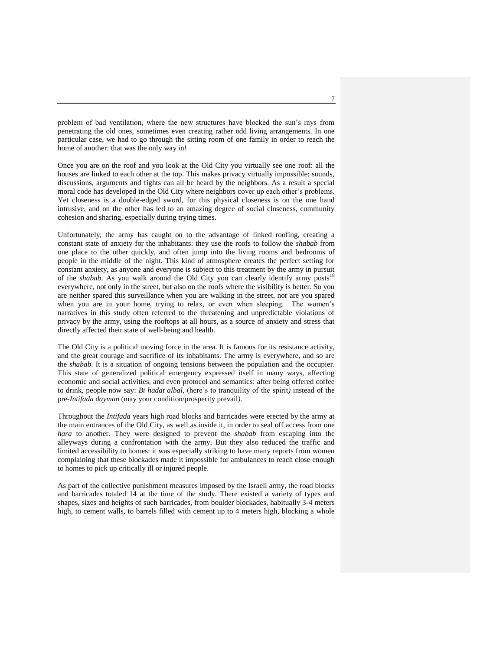problem of bad ventilation, where the new structures have blocked the sun"s rays from penetrating the old ones, sometimes even creating rather odd living arrangements. In one particular case, we had to go through the sitting room of one family in order to reach the home of another: that was the only way in!

Once you are on the roof and you look at the Old City you virtually see one roof: all the houses are linked to each other at the top. This makes privacy virtually impossible; sounds, discussions, arguments and fights can all be heard by the neighbors. As a result a special moral code has developed in the Old City where neighbors cover up each other"s problems. Yet closeness is a double-edged sword, for this physical closeness is on the one hand intrusive, and on the other has led to an amazing degree of social closeness, community cohesion and sharing, especially during trying times.

Unfortunately, the army has caught on to the advantage of linked roofing, creating a constant state of anxiety for the inhabitants: they use the roofs to follow the *shabab* from one place to the other quickly, and often jump into the living rooms and bedrooms of people in the middle of the night. This kind of atmosphere creates the perfect setting for constant anxiety, as anyone and everyone is subject to this treatment by the army in pursuit of the *shabab*. As you walk around the Old City you can clearly identify army posts<sup>18</sup> everywhere, not only in the street, but also on the roofs where the visibility is better. So you are neither spared this surveillance when you are walking in the street, nor are you spared when you are in your home, trying to relax, or even when sleeping. The women's narratives in this study often referred to the threatening and unpredictable violations of privacy by the army, using the rooftops at all hours, as a source of anxiety and stress that directly affected their state of well-being and health.

The Old City is a political moving force in the area. It is famous for its resistance activity, and the great courage and sacrifice of its inhabitants. The army is everywhere, and so are the *shabab*. It is a situation of ongoing tensions between the population and the occupier. This state of generalized political emergency expressed itself in many ways, affecting economic and social activities, and even protocol and semantics: after being offered coffee to drink, people now say: *Bi hadat albal*, (here"s to tranquility of the spirit*)* instead of the pre-*Intifada dayman* (may your condition/prosperity prevail*).*

Throughout the *Intifada* years high road blocks and barricades were erected by the army at the main entrances of the Old City, as well as inside it, in order to seal off access from one *hara* to another. They were designed to prevent the *shabab* from escaping into the alleyways during a confrontation with the army. But they also reduced the traffic and limited accessibility to homes: it was especially striking to have many reports from women complaining that these blockades made it impossible for ambulances to reach close enough to homes to pick up critically ill or injured people.

As part of the collective punishment measures imposed by the Israeli army, the road blocks and barricades totaled 14 at the time of the study. There existed a variety of types and shapes, sizes and heights of such barricades, from boulder blockades, habitually 3-4 meters high, to cement walls, to barrels filled with cement up to 4 meters high, blocking a whole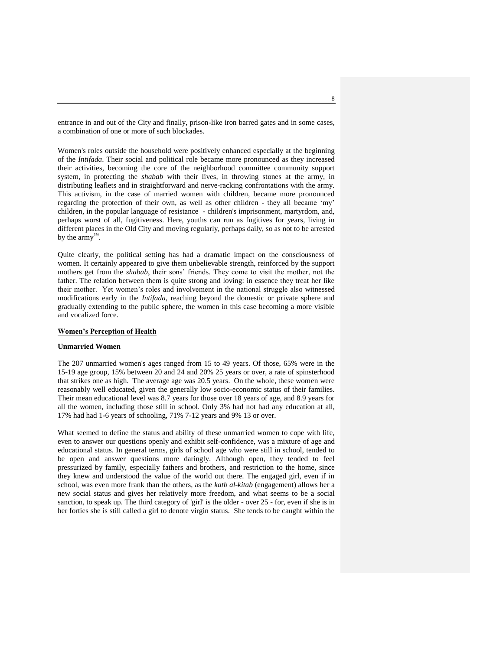entrance in and out of the City and finally, prison-like iron barred gates and in some cases, a combination of one or more of such blockades*.*

Women's roles outside the household were positively enhanced especially at the beginning of the *Intifada*. Their social and political role became more pronounced as they increased their activities, becoming the core of the neighborhood committee community support system, in protecting the *shabab* with their lives, in throwing stones at the army, in distributing leaflets and in straightforward and nerve-racking confrontations with the army. This activism, in the case of married women with children, became more pronounced regarding the protection of their own, as well as other children - they all became "my" children, in the popular language of resistance - children's imprisonment, martyrdom, and, perhaps worst of all, fugitiveness. Here, youths can run as fugitives for years, living in different places in the Old City and moving regularly, perhaps daily, so as not to be arrested by the  $\arcsin^{19}$ .

Quite clearly, the political setting has had a dramatic impact on the consciousness of women. It certainly appeared to give them unbelievable strength, reinforced by the support mothers get from the *shabab*, their sons" friends. They come to visit the mother, not the father. The relation between them is quite strong and loving: in essence they treat her like their mother. Yet women"s roles and involvement in the national struggle also witnessed modifications early in the *Intifada*, reaching beyond the domestic or private sphere and gradually extending to the public sphere, the women in this case becoming a more visible and vocalized force.

#### **Women's Perception of Health**

#### **Unmarried Women**

The 207 unmarried women's ages ranged from 15 to 49 years. Of those, 65% were in the 15-19 age group, 15% between 20 and 24 and 20% 25 years or over, a rate of spinsterhood that strikes one as high. The average age was 20.5 years. On the whole, these women were reasonably well educated, given the generally low socio-economic status of their families. Their mean educational level was 8.7 years for those over 18 years of age, and 8.9 years for all the women, including those still in school. Only 3% had not had any education at all, 17% had had 1-6 years of schooling, 71% 7-12 years and 9% 13 or over.

What seemed to define the status and ability of these unmarried women to cope with life, even to answer our questions openly and exhibit self-confidence, was a mixture of age and educational status. In general terms, girls of school age who were still in school, tended to be open and answer questions more daringly. Although open, they tended to feel pressurized by family, especially fathers and brothers, and restriction to the home, since they knew and understood the value of the world out there. The engaged girl, even if in school, was even more frank than the others, as the *katb al*-*kitab* (engagement) allows her a new social status and gives her relatively more freedom, and what seems to be a social sanction, to speak up. The third category of 'girl' is the older - over 25 - for, even if she is in her forties she is still called a girl to denote virgin status. She tends to be caught within the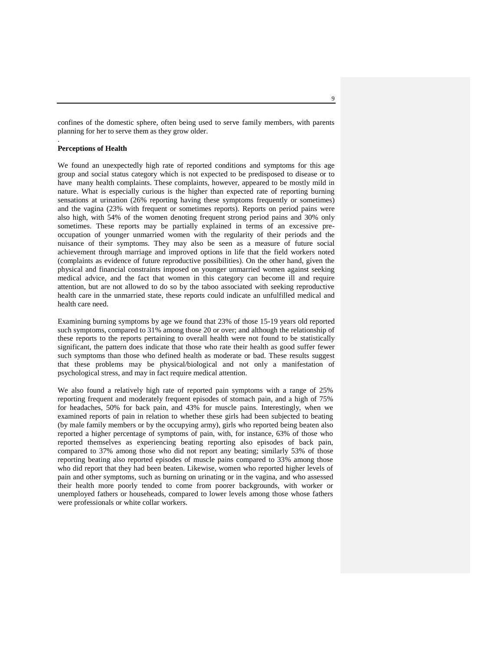confines of the domestic sphere, often being used to serve family members, with parents planning for her to serve them as they grow older.

## **Perceptions of Health**

.

We found an unexpectedly high rate of reported conditions and symptoms for this age group and social status category which is not expected to be predisposed to disease or to have many health complaints. These complaints, however, appeared to be mostly mild in nature. What is especially curious is the higher than expected rate of reporting burning sensations at urination (26% reporting having these symptoms frequently or sometimes) and the vagina (23% with frequent or sometimes reports). Reports on period pains were also high, with 54% of the women denoting frequent strong period pains and 30% only sometimes. These reports may be partially explained in terms of an excessive preoccupation of younger unmarried women with the regularity of their periods and the nuisance of their symptoms. They may also be seen as a measure of future social achievement through marriage and improved options in life that the field workers noted (complaints as evidence of future reproductive possibilities). On the other hand, given the physical and financial constraints imposed on younger unmarried women against seeking medical advice, and the fact that women in this category can become ill and require attention, but are not allowed to do so by the taboo associated with seeking reproductive health care in the unmarried state, these reports could indicate an unfulfilled medical and health care need.

Examining burning symptoms by age we found that 23% of those 15-19 years old reported such symptoms, compared to 31% among those 20 or over; and although the relationship of these reports to the reports pertaining to overall health were not found to be statistically significant, the pattern does indicate that those who rate their health as good suffer fewer such symptoms than those who defined health as moderate or bad. These results suggest that these problems may be physical/biological and not only a manifestation of psychological stress, and may in fact require medical attention.

We also found a relatively high rate of reported pain symptoms with a range of 25% reporting frequent and moderately frequent episodes of stomach pain, and a high of 75% for headaches, 50% for back pain, and 43% for muscle pains. Interestingly, when we examined reports of pain in relation to whether these girls had been subjected to beating (by male family members or by the occupying army), girls who reported being beaten also reported a higher percentage of symptoms of pain, with, for instance, 63% of those who reported themselves as experiencing beating reporting also episodes of back pain, compared to 37% among those who did not report any beating; similarly 53% of those reporting beating also reported episodes of muscle pains compared to 33% among those who did report that they had been beaten. Likewise, women who reported higher levels of pain and other symptoms, such as burning on urinating or in the vagina, and who assessed their health more poorly tended to come from poorer backgrounds, with worker or unemployed fathers or househeads, compared to lower levels among those whose fathers were professionals or white collar workers.

 $\overline{Q}$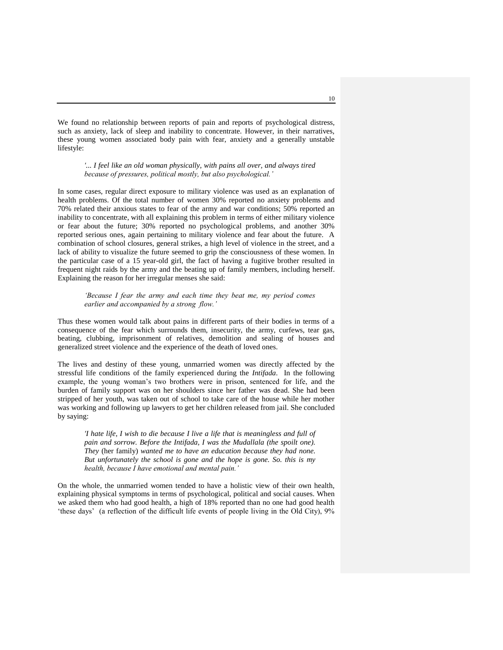We found no relationship between reports of pain and reports of psychological distress, such as anxiety, lack of sleep and inability to concentrate. However, in their narratives, these young women associated body pain with fear, anxiety and a generally unstable lifestyle:

## *'... I feel like an old woman physically, with pains all over, and always tired because of pressures, political mostly, but also psychological.'*

In some cases, regular direct exposure to military violence was used as an explanation of health problems. Of the total number of women 30% reported no anxiety problems and 70% related their anxious states to fear of the army and war conditions; 50% reported an inability to concentrate, with all explaining this problem in terms of either military violence or fear about the future; 30% reported no psychological problems, and another 30% reported serious ones, again pertaining to military violence and fear about the future. A combination of school closures, general strikes, a high level of violence in the street, and a lack of ability to visualize the future seemed to grip the consciousness of these women. In the particular case of a 15 year-old girl, the fact of having a fugitive brother resulted in frequent night raids by the army and the beating up of family members, including herself. Explaining the reason for her irregular menses she said:

## *'Because I fear the army and each time they beat me, my period comes earlier and accompanied by a strong flow.'*

Thus these women would talk about pains in different parts of their bodies in terms of a consequence of the fear which surrounds them, insecurity, the army, curfews, tear gas, beating, clubbing, imprisonment of relatives, demolition and sealing of houses and generalized street violence and the experience of the death of loved ones.

The lives and destiny of these young, unmarried women was directly affected by the stressful life conditions of the family experienced during the *Intifada*. In the following example, the young woman"s two brothers were in prison, sentenced for life, and the burden of family support was on her shoulders since her father was dead. She had been stripped of her youth, was taken out of school to take care of the house while her mother was working and following up lawyers to get her children released from jail. She concluded by saying:

*'I hate life, I wish to die because I live a life that is meaningless and full of pain and sorrow. Before the Intifada, I was the Mudallala (the spoilt one). They* (her family) *wanted me to have an education because they had none. But unfortunately the school is gone and the hope is gone. So. this is my health, because I have emotional and mental pain.'*

On the whole, the unmarried women tended to have a holistic view of their own health, explaining physical symptoms in terms of psychological, political and social causes. When we asked them who had good health, a high of 18% reported than no one had good health "these days" (a reflection of the difficult life events of people living in the Old City), 9%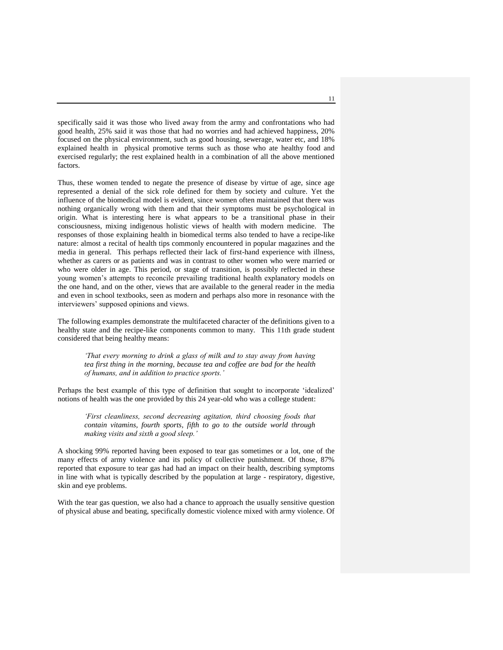specifically said it was those who lived away from the army and confrontations who had good health, 25% said it was those that had no worries and had achieved happiness, 20% focused on the physical environment, such as good housing, sewerage, water etc, and 18% explained health in physical promotive terms such as those who ate healthy food and exercised regularly; the rest explained health in a combination of all the above mentioned factors.

Thus, these women tended to negate the presence of disease by virtue of age, since age represented a denial of the sick role defined for them by society and culture. Yet the influence of the biomedical model is evident, since women often maintained that there was nothing organically wrong with them and that their symptoms must be psychological in origin. What is interesting here is what appears to be a transitional phase in their consciousness, mixing indigenous holistic views of health with modern medicine. The responses of those explaining health in biomedical terms also tended to have a recipe-like nature: almost a recital of health tips commonly encountered in popular magazines and the media in general. This perhaps reflected their lack of first-hand experience with illness, whether as carers or as patients and was in contrast to other women who were married or who were older in age. This period, or stage of transition, is possibly reflected in these young women's attempts to reconcile prevailing traditional health explanatory models on the one hand, and on the other, views that are available to the general reader in the media and even in school textbooks, seen as modern and perhaps also more in resonance with the interviewers" supposed opinions and views.

The following examples demonstrate the multifaceted character of the definitions given to a healthy state and the recipe-like components common to many. This 11th grade student considered that being healthy means:

*'That every morning to drink a glass of milk and to stay away from having tea first thing in the morning, because tea and coffee are bad for the health of humans, and in addition to practice sports.'*

Perhaps the best example of this type of definition that sought to incorporate "idealized" notions of health was the one provided by this 24 year-old who was a college student:

*'First cleanliness, second decreasing agitation, third choosing foods that contain vitamins, fourth sports, fifth to go to the outside world through making visits and sixth a good sleep.'*

A shocking 99% reported having been exposed to tear gas sometimes or a lot, one of the many effects of army violence and its policy of collective punishment. Of those, 87% reported that exposure to tear gas had had an impact on their health, describing symptoms in line with what is typically described by the population at large - respiratory, digestive, skin and eye problems.

With the tear gas question, we also had a chance to approach the usually sensitive question of physical abuse and beating, specifically domestic violence mixed with army violence. Of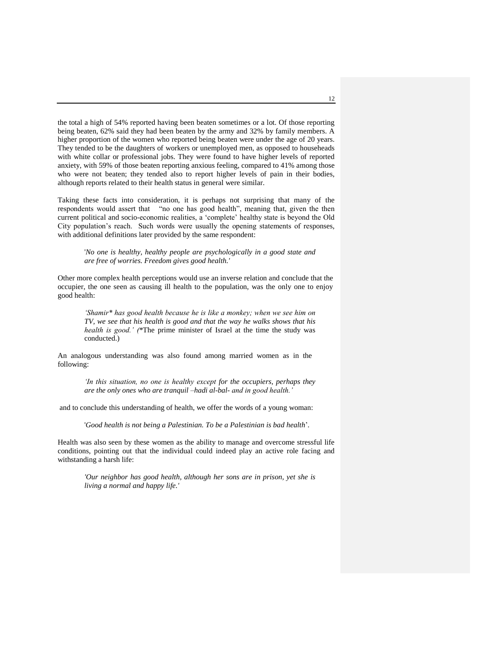the total a high of 54% reported having been beaten sometimes or a lot. Of those reporting being beaten, 62% said they had been beaten by the army and 32% by family members. A higher proportion of the women who reported being beaten were under the age of 20 years. They tended to be the daughters of workers or unemployed men, as opposed to househeads with white collar or professional jobs. They were found to have higher levels of reported anxiety, with 59% of those beaten reporting anxious feeling, compared to 41% among those who were not beaten; they tended also to report higher levels of pain in their bodies, although reports related to their health status in general were similar.

Taking these facts into consideration, it is perhaps not surprising that many of the respondents would assert that "no one has good health", meaning that, given the then current political and socio-economic realities, a "complete" healthy state is beyond the Old City population"s reach. Such words were usually the opening statements of responses, with additional definitions later provided by the same respondent:

'*No one is healthy, healthy people are psychologically in a good state and are free of worries. Freedom gives good health.'*

Other more complex health perceptions would use an inverse relation and conclude that the occupier, the one seen as causing ill health to the population, was the only one to enjoy good health:

*'Shamir\* has good health because he is like a monkey; when we see him on TV, we see that his health is good and that the way he walks shows that his health is good.' (*\*The prime minister of Israel at the time the study was conducted.)

An analogous understanding was also found among married women as in the following:

> *In this situation, no one is healthy except for the occupiers, perhaps they are the only ones who are tranquil –hadi al-bal- and in good health.'*

and to conclude this understanding of health, we offer the words of a young woman:

'*Good health is not being a Palestinian. To be a Palestinian is bad health*"*.*

Health was also seen by these women as the ability to manage and overcome stressful life conditions, pointing out that the individual could indeed play an active role facing and withstanding a harsh life:

*'Our neighbor has good health, although her sons are in prison, yet she is living a normal and happy life.'*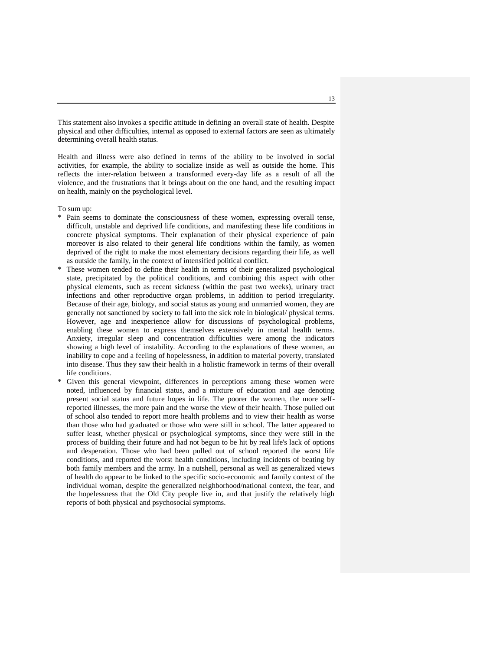This statement also invokes a specific attitude in defining an overall state of health. Despite physical and other difficulties, internal as opposed to external factors are seen as ultimately determining overall health status.

Health and illness were also defined in terms of the ability to be involved in social activities, for example, the ability to socialize inside as well as outside the home. This reflects the inter-relation between a transformed every-day life as a result of all the violence, and the frustrations that it brings about on the one hand, and the resulting impact on health, mainly on the psychological level.

To sum up:

- \* Pain seems to dominate the consciousness of these women, expressing overall tense, difficult, unstable and deprived life conditions, and manifesting these life conditions in concrete physical symptoms. Their explanation of their physical experience of pain moreover is also related to their general life conditions within the family, as women deprived of the right to make the most elementary decisions regarding their life, as well as outside the family, in the context of intensified political conflict.
- These women tended to define their health in terms of their generalized psychological state, precipitated by the political conditions, and combining this aspect with other physical elements, such as recent sickness (within the past two weeks), urinary tract infections and other reproductive organ problems, in addition to period irregularity. Because of their age, biology, and social status as young and unmarried women, they are generally not sanctioned by society to fall into the sick role in biological/ physical terms. However, age and inexperience allow for discussions of psychological problems, enabling these women to express themselves extensively in mental health terms. Anxiety, irregular sleep and concentration difficulties were among the indicators showing a high level of instability. According to the explanations of these women, an inability to cope and a feeling of hopelessness, in addition to material poverty, translated into disease. Thus they saw their health in a holistic framework in terms of their overall life conditions.
- \* Given this general viewpoint, differences in perceptions among these women were noted, influenced by financial status, and a mixture of education and age denoting present social status and future hopes in life. The poorer the women, the more selfreported illnesses, the more pain and the worse the view of their health. Those pulled out of school also tended to report more health problems and to view their health as worse than those who had graduated or those who were still in school. The latter appeared to suffer least, whether physical or psychological symptoms, since they were still in the process of building their future and had not begun to be hit by real life's lack of options and desperation. Those who had been pulled out of school reported the worst life conditions, and reported the worst health conditions, including incidents of beating by both family members and the army. In a nutshell, personal as well as generalized views of health do appear to be linked to the specific socio-economic and family context of the individual woman, despite the generalized neighborhood/national context, the fear, and the hopelessness that the Old City people live in, and that justify the relatively high reports of both physical and psychosocial symptoms.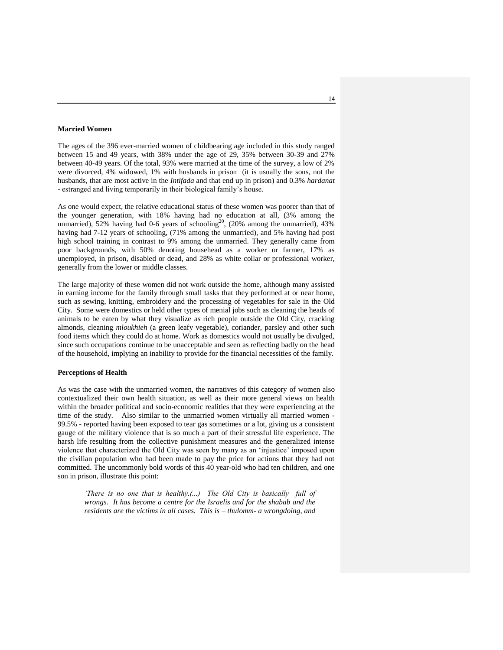## **Married Women**

The ages of the 396 ever-married women of childbearing age included in this study ranged between 15 and 49 years, with 38% under the age of 29, 35% between 30-39 and 27% between 40-49 years. Of the total, 93% were married at the time of the survey, a low of 2% were divorced, 4% widowed, 1% with husbands in prison (it is usually the sons, not the husbands, that are most active in the *Intifada* and that end up in prison) and 0.3% *hardanat* - estranged and living temporarily in their biological family"s house.

As one would expect, the relative educational status of these women was poorer than that of the younger generation, with 18% having had no education at all, (3% among the unmarried), 52% having had 0-6 years of schooling<sup>20</sup>, (20% among the unmarried), 43% having had 7-12 years of schooling, (71% among the unmarried), and 5% having had post high school training in contrast to 9% among the unmarried. They generally came from poor backgrounds, with 50% denoting househead as a worker or farmer, 17% as unemployed, in prison, disabled or dead, and 28% as white collar or professional worker, generally from the lower or middle classes.

The large majority of these women did not work outside the home, although many assisted in earning income for the family through small tasks that they performed at or near home, such as sewing, knitting, embroidery and the processing of vegetables for sale in the Old City. Some were domestics or held other types of menial jobs such as cleaning the heads of animals to be eaten by what they visualize as rich people outside the Old City, cracking almonds, cleaning *mloukhieh* (a green leafy vegetable), coriander, parsley and other such food items which they could do at home. Work as domestics would not usually be divulged, since such occupations continue to be unacceptable and seen as reflecting badly on the head of the household, implying an inability to provide for the financial necessities of the family.

#### **Perceptions of Health**

As was the case with the unmarried women, the narratives of this category of women also contextualized their own health situation, as well as their more general views on health within the broader political and socio-economic realities that they were experiencing at the time of the study. Also similar to the unmarried women virtually all married women - 99.5% - reported having been exposed to tear gas sometimes or a lot, giving us a consistent gauge of the military violence that is so much a part of their stressful life experience. The harsh life resulting from the collective punishment measures and the generalized intense violence that characterized the Old City was seen by many as an "injustice" imposed upon the civilian population who had been made to pay the price for actions that they had not committed. The uncommonly bold words of this 40 year-old who had ten children, and one son in prison, illustrate this point:

*'There is no one that is healthy.(...) The Old City is basically full of wrongs. It has become a centre for the Israelis and for the shabab and the residents are the victims in all cases. This is – thulomm- a wrongdoing, and*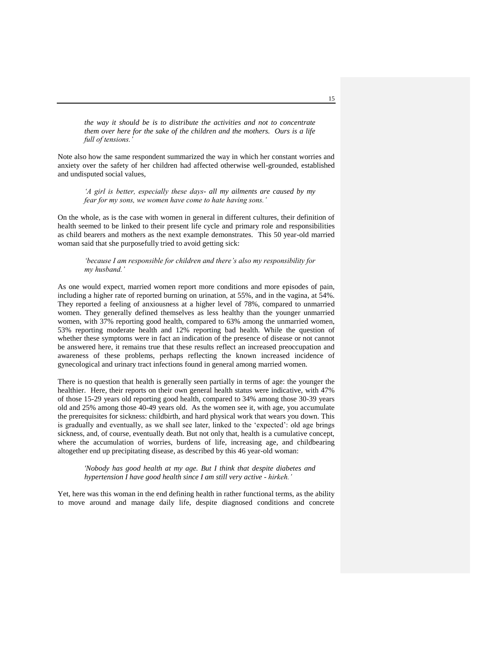*the way it should be is to distribute the activities and not to concentrate them over here for the sake of the children and the mothers. Ours is a life full of tensions.'*

Note also how the same respondent summarized the way in which her constant worries and anxiety over the safety of her children had affected otherwise well-grounded, established and undisputed social values,

*'A girl is better, especially these days- all my ailments are caused by my fear for my sons, we women have come to hate having sons.'* 

On the whole, as is the case with women in general in different cultures, their definition of health seemed to be linked to their present life cycle and primary role and responsibilities as child bearers and mothers as the next example demonstrates. This 50 year-old married woman said that she purposefully tried to avoid getting sick:

*'because I am responsible for children and there's also my responsibility for my husband.'*

As one would expect, married women report more conditions and more episodes of pain, including a higher rate of reported burning on urination, at 55%, and in the vagina, at 54%. They reported a feeling of anxiousness at a higher level of 78%, compared to unmarried women. They generally defined themselves as less healthy than the younger unmarried women, with 37% reporting good health, compared to 63% among the unmarried women, 53% reporting moderate health and 12% reporting bad health. While the question of whether these symptoms were in fact an indication of the presence of disease or not cannot be answered here, it remains true that these results reflect an increased preoccupation and awareness of these problems, perhaps reflecting the known increased incidence of gynecological and urinary tract infections found in general among married women.

There is no question that health is generally seen partially in terms of age: the younger the healthier. Here, their reports on their own general health status were indicative, with 47% of those 15-29 years old reporting good health, compared to 34% among those 30-39 years old and 25% among those 40-49 years old. As the women see it, with age, you accumulate the prerequisites for sickness: childbirth, and hard physical work that wears you down. This is gradually and eventually, as we shall see later, linked to the "expected": old age brings sickness, and, of course, eventually death. But not only that, health is a cumulative concept, where the accumulation of worries, burdens of life, increasing age, and childbearing altogether end up precipitating disease, as described by this 46 year-old woman:

*'Nobody has good health at my age. But I think that despite diabetes and hypertension I have good health since I am still very active - hirkeh.'*

Yet, here was this woman in the end defining health in rather functional terms, as the ability to move around and manage daily life, despite diagnosed conditions and concrete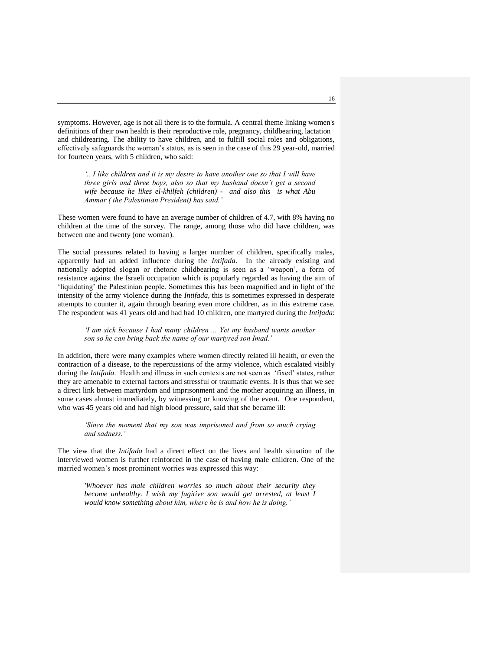symptoms. However, age is not all there is to the formula. A central theme linking women's definitions of their own health is their reproductive role, pregnancy, childbearing, lactation and childrearing. The ability to have children, and to fulfill social roles and obligations, effectively safeguards the woman"s status, as is seen in the case of this 29 year-old, married for fourteen years, with 5 children, who said:

*'.. I like children and it is my desire to have another one so that I will have three girls and three boys, also so that my husband doesn't get a second wife because he likes el-khilfeh (children) - and also this is what Abu Ammar ( the Palestinian President) has said.'* 

These women were found to have an average number of children of 4.7, with 8% having no children at the time of the survey. The range, among those who did have children, was between one and twenty (one woman).

The social pressures related to having a larger number of children, specifically males, apparently had an added influence during the *Intifada*. In the already existing and nationally adopted slogan or rhetoric childbearing is seen as a "weapon", a form of resistance against the Israeli occupation which is popularly regarded as having the aim of "liquidating" the Palestinian people. Sometimes this has been magnified and in light of the intensity of the army violence during the *Intifada*, this is sometimes expressed in desperate attempts to counter it, again through bearing even more children, as in this extreme case. The respondent was 41 years old and had had 10 children, one martyred during the *Intifada*:

## *'I am sick because I had many children ... Yet my husband wants another son so he can bring back the name of our martyred son Imad.'*

In addition, there were many examples where women directly related ill health, or even the contraction of a disease, to the repercussions of the army violence, which escalated visibly during the *Intifada*. Health and illness in such contexts are not seen as "fixed" states, rather they are amenable to external factors and stressful or traumatic events. It is thus that we see a direct link between martyrdom and imprisonment and the mother acquiring an illness, in some cases almost immediately, by witnessing or knowing of the event. One respondent, who was 45 years old and had high blood pressure, said that she became ill:

*'Since the moment that my son was imprisoned and from so much crying and sadness.'*

The view that the *Intifada* had a direct effect on the lives and health situation of the interviewed women is further reinforced in the case of having male children. One of the married women"s most prominent worries was expressed this way:

*'Whoever has male children worries so much about their security they become unhealthy. I wish my fugitive son would get arrested, at least I would know something about him, where he is and how he is doing.'*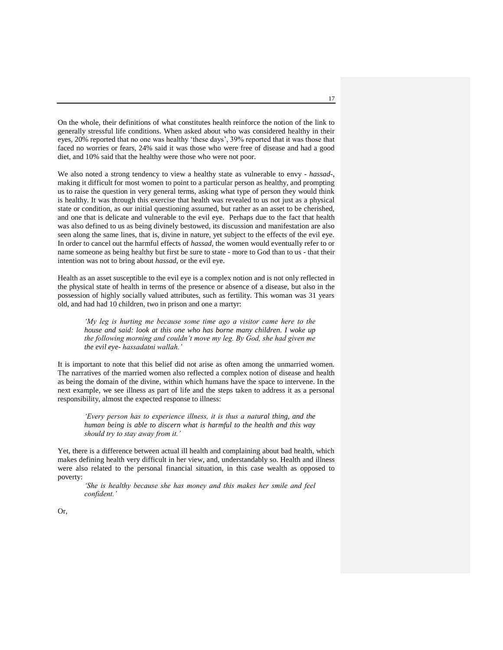On the whole, their definitions of what constitutes health reinforce the notion of the link to generally stressful life conditions. When asked about who was considered healthy in their eyes, 20% reported that no one was healthy "these days", 39% reported that it was those that faced no worries or fears, 24% said it was those who were free of disease and had a good diet, and 10% said that the healthy were those who were not poor.

We also noted a strong tendency to view a healthy state as vulnerable to envy - *hassad*-, making it difficult for most women to point to a particular person as healthy, and prompting us to raise the question in very general terms, asking what type of person they would think is healthy. It was through this exercise that health was revealed to us not just as a physical state or condition, as our initial questioning assumed, but rather as an asset to be cherished, and one that is delicate and vulnerable to the evil eye. Perhaps due to the fact that health was also defined to us as being divinely bestowed, its discussion and manifestation are also seen along the same lines, that is, divine in nature, yet subject to the effects of the evil eye. In order to cancel out the harmful effects of *hassad*, the women would eventually refer to or name someone as being healthy but first be sure to state - more to God than to us - that their intention was not to bring about *hassad*, or the evil eye.

Health as an asset susceptible to the evil eye is a complex notion and is not only reflected in the physical state of health in terms of the presence or absence of a disease, but also in the possession of highly socially valued attributes, such as fertility. This woman was 31 years old, and had had 10 children, two in prison and one a martyr:

*'My leg is hurting me because some time ago a visitor came here to the house and said: look at this one who has borne many children. I woke up the following morning and couldn't move my leg. By God, she had given me the evil eye- hassadatni wallah.'* 

It is important to note that this belief did not arise as often among the unmarried women. The narratives of the married women also reflected a complex notion of disease and health as being the domain of the divine, within which humans have the space to intervene. In the next example, we see illness as part of life and the steps taken to address it as a personal responsibility, almost the expected response to illness:

*'Every person has to experience illness, it is thus a natural thing, and the human being is able to discern what is harmful to the health and this way should try to stay away from it.'* 

Yet, there is a difference between actual ill health and complaining about bad health, which makes defining health very difficult in her view, and, understandably so. Health and illness were also related to the personal financial situation, in this case wealth as opposed to poverty:

*'She is healthy because she has money and this makes her smile and feel confident.'*

Or,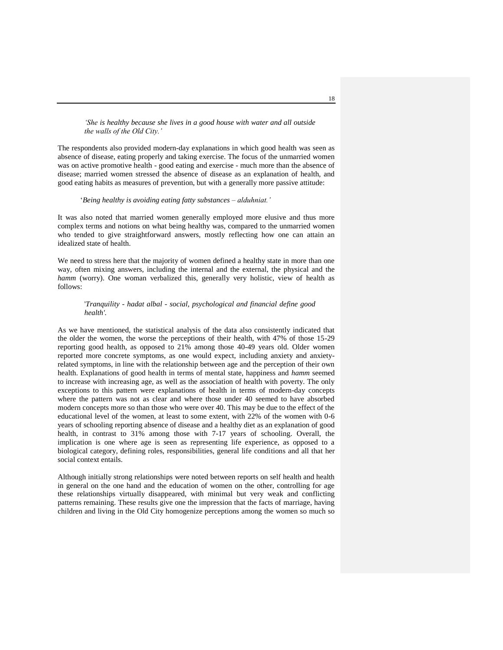*'She is healthy because she lives in a good house with water and all outside the walls of the Old City.'*

The respondents also provided modern-day explanations in which good health was seen as absence of disease, eating properly and taking exercise. The focus of the unmarried women was on active promotive health - good eating and exercise - much more than the absence of disease; married women stressed the absence of disease as an explanation of health, and good eating habits as measures of prevention, but with a generally more passive attitude:

#### "*Being healthy is avoiding eating fatty substances – alduhniat.'*

It was also noted that married women generally employed more elusive and thus more complex terms and notions on what being healthy was, compared to the unmarried women who tended to give straightforward answers, mostly reflecting how one can attain an idealized state of health.

We need to stress here that the majority of women defined a healthy state in more than one way, often mixing answers, including the internal and the external, the physical and the *hamm* (worry). One woman verbalized this, generally very holistic, view of health as follows:

#### '*Tranquility - hadat albal - social, psychological and financial define good health'.*

As we have mentioned, the statistical analysis of the data also consistently indicated that the older the women, the worse the perceptions of their health, with 47% of those 15-29 reporting good health, as opposed to 21% among those 40-49 years old. Older women reported more concrete symptoms, as one would expect, including anxiety and anxietyrelated symptoms, in line with the relationship between age and the perception of their own health. Explanations of good health in terms of mental state, happiness and *hamm* seemed to increase with increasing age, as well as the association of health with poverty. The only exceptions to this pattern were explanations of health in terms of modern-day concepts where the pattern was not as clear and where those under 40 seemed to have absorbed modern concepts more so than those who were over 40. This may be due to the effect of the educational level of the women, at least to some extent, with 22% of the women with 0-6 years of schooling reporting absence of disease and a healthy diet as an explanation of good health, in contrast to 31% among those with 7-17 years of schooling. Overall, the implication is one where age is seen as representing life experience, as opposed to a biological category, defining roles, responsibilities, general life conditions and all that her social context entails.

Although initially strong relationships were noted between reports on self health and health in general on the one hand and the education of women on the other, controlling for age these relationships virtually disappeared, with minimal but very weak and conflicting patterns remaining. These results give one the impression that the facts of marriage, having children and living in the Old City homogenize perceptions among the women so much so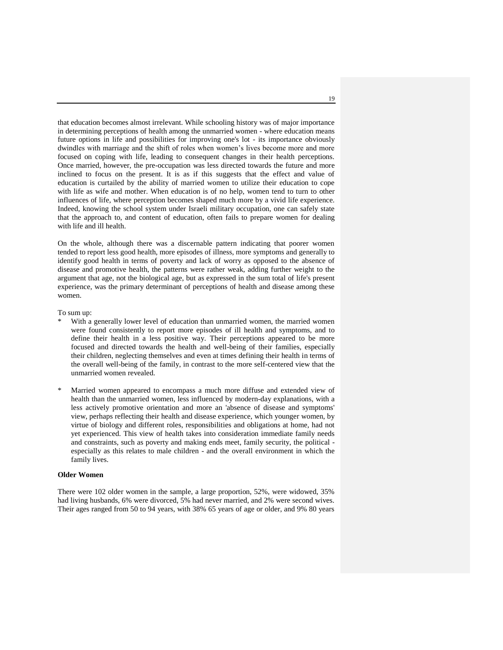that education becomes almost irrelevant. While schooling history was of major importance in determining perceptions of health among the unmarried women - where education means future options in life and possibilities for improving one's lot - its importance obviously dwindles with marriage and the shift of roles when women"s lives become more and more focused on coping with life, leading to consequent changes in their health perceptions. Once married, however, the pre-occupation was less directed towards the future and more inclined to focus on the present. It is as if this suggests that the effect and value of education is curtailed by the ability of married women to utilize their education to cope with life as wife and mother. When education is of no help, women tend to turn to other influences of life, where perception becomes shaped much more by a vivid life experience. Indeed, knowing the school system under Israeli military occupation, one can safely state that the approach to, and content of education, often fails to prepare women for dealing with life and ill health.

On the whole, although there was a discernable pattern indicating that poorer women tended to report less good health, more episodes of illness, more symptoms and generally to identify good health in terms of poverty and lack of worry as opposed to the absence of disease and promotive health, the patterns were rather weak, adding further weight to the argument that age, not the biological age, but as expressed in the sum total of life's present experience, was the primary determinant of perceptions of health and disease among these women.

#### To sum up:

- With a generally lower level of education than unmarried women, the married women were found consistently to report more episodes of ill health and symptoms, and to define their health in a less positive way. Their perceptions appeared to be more focused and directed towards the health and well-being of their families, especially their children, neglecting themselves and even at times defining their health in terms of the overall well-being of the family, in contrast to the more self-centered view that the unmarried women revealed.
- Married women appeared to encompass a much more diffuse and extended view of health than the unmarried women, less influenced by modern-day explanations, with a less actively promotive orientation and more an 'absence of disease and symptoms' view, perhaps reflecting their health and disease experience, which younger women, by virtue of biology and different roles, responsibilities and obligations at home, had not yet experienced. This view of health takes into consideration immediate family needs and constraints, such as poverty and making ends meet, family security, the political especially as this relates to male children - and the overall environment in which the family lives.

## **Older Women**

There were 102 older women in the sample, a large proportion, 52%, were widowed, 35% had living husbands, 6% were divorced, 5% had never married, and 2% were second wives. Their ages ranged from 50 to 94 years, with 38% 65 years of age or older, and 9% 80 years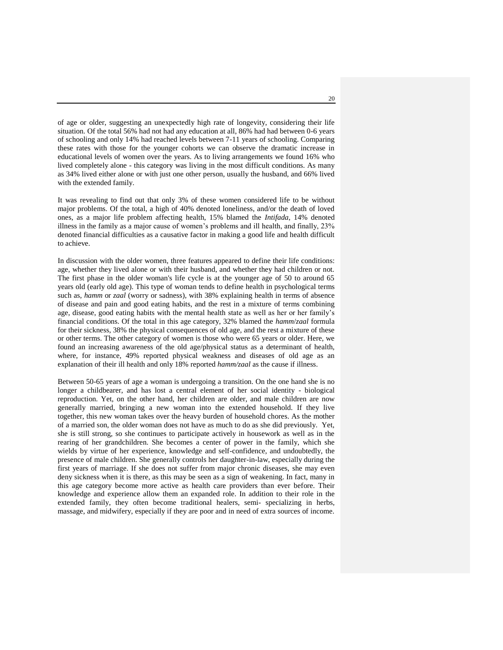of age or older, suggesting an unexpectedly high rate of longevity, considering their life situation. Of the total 56% had not had any education at all, 86% had had between 0-6 years of schooling and only 14% had reached levels between 7-11 years of schooling. Comparing these rates with those for the younger cohorts we can observe the dramatic increase in educational levels of women over the years. As to living arrangements we found 16% who lived completely alone - this category was living in the most difficult conditions. As many as 34% lived either alone or with just one other person, usually the husband, and 66% lived with the extended family.

It was revealing to find out that only 3% of these women considered life to be without major problems. Of the total, a high of 40% denoted loneliness, and/or the death of loved ones, as a major life problem affecting health, 15% blamed the *Intifada*, 14% denoted illness in the family as a major cause of women"s problems and ill health, and finally, 23% denoted financial difficulties as a causative factor in making a good life and health difficult to achieve.

In discussion with the older women, three features appeared to define their life conditions: age, whether they lived alone or with their husband, and whether they had children or not. The first phase in the older woman's life cycle is at the younger age of 50 to around 65 years old (early old age). This type of woman tends to define health in psychological terms such as, *hamm* or *zaal* (worry or sadness), with 38% explaining health in terms of absence of disease and pain and good eating habits, and the rest in a mixture of terms combining age, disease, good eating habits with the mental health state as well as her or her family"s financial conditions. Of the total in this age category, 32% blamed the *hamm*/*zaal* formula for their sickness, 38% the physical consequences of old age, and the rest a mixture of these or other terms. The other category of women is those who were 65 years or older. Here, we found an increasing awareness of the old age/physical status as a determinant of health, where, for instance, 49% reported physical weakness and diseases of old age as an explanation of their ill health and only 18% reported *hamm/zaal* as the cause if illness.

Between 50-65 years of age a woman is undergoing a transition. On the one hand she is no longer a childbearer, and has lost a central element of her social identity - biological reproduction. Yet, on the other hand, her children are older, and male children are now generally married, bringing a new woman into the extended household. If they live together, this new woman takes over the heavy burden of household chores. As the mother of a married son, the older woman does not have as much to do as she did previously. Yet, she is still strong, so she continues to participate actively in housework as well as in the rearing of her grandchildren. She becomes a center of power in the family, which she wields by virtue of her experience, knowledge and self-confidence, and undoubtedly, the presence of male children. She generally controls her daughter-in-law, especially during the first years of marriage. If she does not suffer from major chronic diseases, she may even deny sickness when it is there, as this may be seen as a sign of weakening. In fact, many in this age category become more active as health care providers than ever before. Their knowledge and experience allow them an expanded role. In addition to their role in the extended family, they often become traditional healers, semi- specializing in herbs, massage, and midwifery, especially if they are poor and in need of extra sources of income.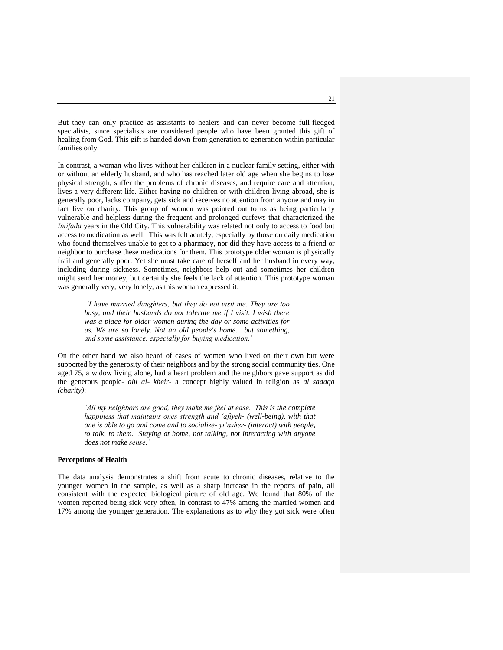But they can only practice as assistants to healers and can never become full-fledged specialists, since specialists are considered people who have been granted this gift of healing from God. This gift is handed down from generation to generation within particular families only.

In contrast, a woman who lives without her children in a nuclear family setting, either with or without an elderly husband, and who has reached later old age when she begins to lose physical strength, suffer the problems of chronic diseases, and require care and attention, lives a very different life. Either having no children or with children living abroad, she is generally poor, lacks company, gets sick and receives no attention from anyone and may in fact live on charity. This group of women was pointed out to us as being particularly vulnerable and helpless during the frequent and prolonged curfews that characterized the *Intifada* years in the Old City. This vulnerability was related not only to access to food but access to medication as well. This was felt acutely, especially by those on daily medication who found themselves unable to get to a pharmacy, nor did they have access to a friend or neighbor to purchase these medications for them. This prototype older woman is physically frail and generally poor. Yet she must take care of herself and her husband in every way, including during sickness. Sometimes, neighbors help out and sometimes her children might send her money, but certainly she feels the lack of attention. This prototype woman was generally very, very lonely, as this woman expressed it:

*'I have married daughters, but they do not visit me. They are too busy, and their husbands do not tolerate me if I visit. I wish there was a place for older women during the day or some activities for us. We are so lonely. Not an old people's home... but something, and some assistance, especially for buying medication.'*

On the other hand we also heard of cases of women who lived on their own but were supported by the generosity of their neighbors and by the strong social community ties. One aged 75, a widow living alone, had a heart problem and the neighbors gave support as did the generous people- *ahl al- kheir*- a concept highly valued in religion as *al sadaqa (charity)*:

*'All my neighbors are good, they make me feel at ease. This is the complete happiness that maintains ones strength and 'afiyeh- (well-being), with that one is able to go and come and to socialize- yi'asher- (interact) with people, to talk, to them. Staying at home, not talking, not interacting with anyone does not make sense.'*

## **Perceptions of Health**

The data analysis demonstrates a shift from acute to chronic diseases, relative to the younger women in the sample, as well as a sharp increase in the reports of pain, all consistent with the expected biological picture of old age. We found that 80% of the women reported being sick very often, in contrast to 47% among the married women and 17% among the younger generation. The explanations as to why they got sick were often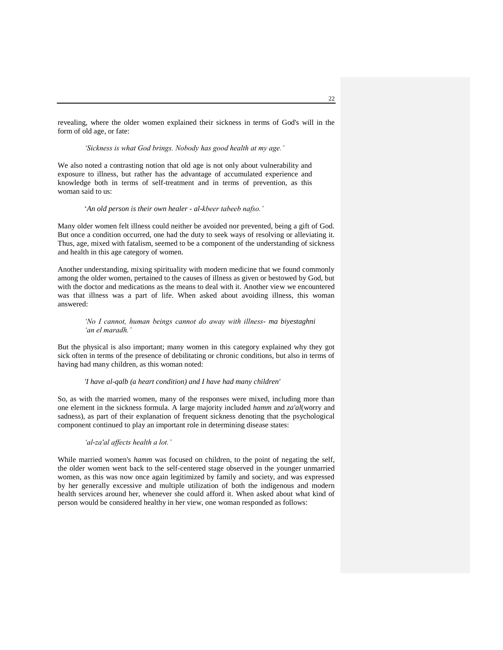revealing, where the older women explained their sickness in terms of God's will in the form of old age, or fate:

*'Sickness is what God brings. Nobody has good health at my age.'*

We also noted a contrasting notion that old age is not only about vulnerability and exposure to illness, but rather has the advantage of accumulated experience and knowledge both in terms of self-treatment and in terms of prevention, as this woman said to us:

"*An old person is their own healer - al-kbeer tabeeb nafso.'*

Many older women felt illness could neither be avoided nor prevented, being a gift of God. But once a condition occurred, one had the duty to seek ways of resolving or alleviating it. Thus, age, mixed with fatalism, seemed to be a component of the understanding of sickness and health in this age category of women.

Another understanding, mixing spirituality with modern medicine that we found commonly among the older women, pertained to the causes of illness as given or bestowed by God, but with the doctor and medications as the means to deal with it. Another view we encountered was that illness was a part of life. When asked about avoiding illness, this woman answered:

## *'No I cannot, human beings cannot do away with illness- ma biyestaghni 'an el maradh.'*

But the physical is also important; many women in this category explained why they got sick often in terms of the presence of debilitating or chronic conditions, but also in terms of having had many children, as this woman noted:

#### *'I have al-qalb (a heart condition) and I have had many children'*

So, as with the married women, many of the responses were mixed, including more than one element in the sickness formula. A large majority included *hamm* and *za'al*(worry and sadness), as part of their explanation of frequent sickness denoting that the psychological component continued to play an important role in determining disease states:

## *'al-za'al affects health a lot.'*

While married women's *hamm* was focused on children, to the point of negating the self, the older women went back to the self-centered stage observed in the younger unmarried women, as this was now once again legitimized by family and society, and was expressed by her generally excessive and multiple utilization of both the indigenous and modern health services around her, whenever she could afford it. When asked about what kind of person would be considered healthy in her view, one woman responded as follows: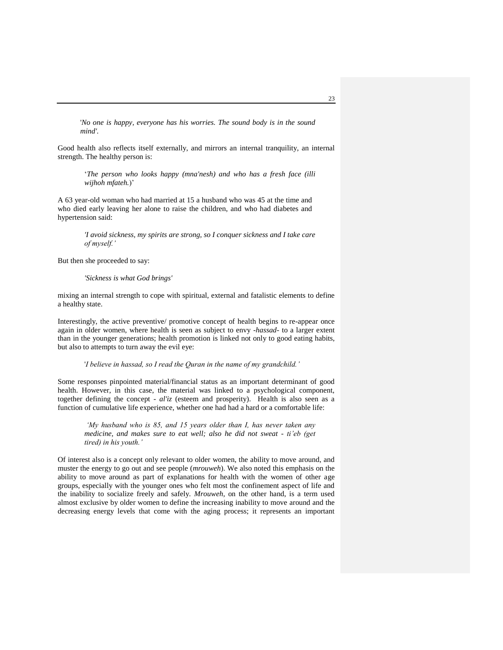'*No one is happy, everyone has his worries. The sound body is in the sound mind'.*

Good health also reflects itself externally, and mirrors an internal tranquility, an internal strength. The healthy person is:

"*The person who looks happy (mna'nesh) and who has a fresh face (illi*  wijhoh mfateh.)'

A 63 year-old woman who had married at 15 a husband who was 45 at the time and who died early leaving her alone to raise the children, and who had diabetes and hypertension said:

> *'I avoid sickness, my spirits are strong, so I conquer sickness and I take care of myself.'*

But then she proceeded to say:

*'Sickness is what God brings'*

mixing an internal strength to cope with spiritual, external and fatalistic elements to define a healthy state.

Interestingly, the active preventive/ promotive concept of health begins to re-appear once again in older women, where health is seen as subject to envy -*hassad*- to a larger extent than in the younger generations; health promotion is linked not only to good eating habits, but also to attempts to turn away the evil eye:

## '*I believe in hassad, so I read the Quran in the name of my grandchild.'*

Some responses pinpointed material/financial status as an important determinant of good health. However, in this case, the material was linked to a psychological component, together defining the concept - *al'iz* (esteem and prosperity). Health is also seen as a function of cumulative life experience, whether one had had a hard or a comfortable life:

*'My husband who is 85, and 15 years older than I, has never taken any medicine, and makes sure to eat well; also he did not sweat - ti'eb (get tired) in his youth.'*

Of interest also is a concept only relevant to older women, the ability to move around, and muster the energy to go out and see people (*mrouweh*). We also noted this emphasis on the ability to move around as part of explanations for health with the women of other age groups, especially with the younger ones who felt most the confinement aspect of life and the inability to socialize freely and safely. *Mrouweh*, on the other hand, is a term used almost exclusive by older women to define the increasing inability to move around and the decreasing energy levels that come with the aging process; it represents an important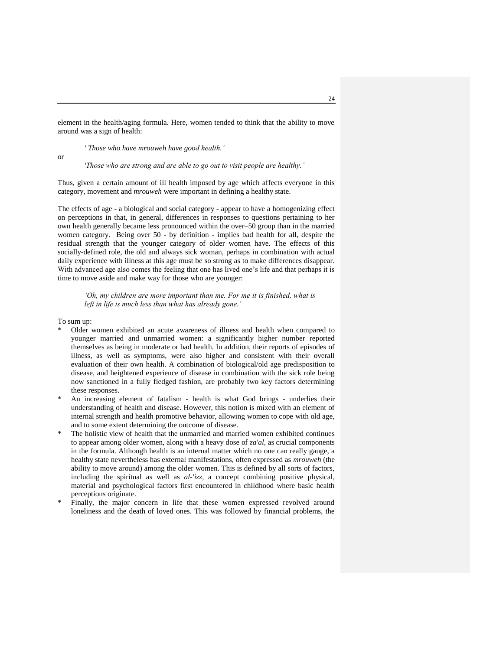element in the health/aging formula. Here, women tended to think that the ability to move around was a sign of health:

*' Those who have mrouweh have good health.'*

or

*'Those who are strong and are able to go out to visit people are healthy.'*

Thus, given a certain amount of ill health imposed by age which affects everyone in this category, movement and *mrouweh* were important in defining a healthy state.

The effects of age - a biological and social category - appear to have a homogenizing effect on perceptions in that, in general, differences in responses to questions pertaining to her own health generally became less pronounced within the over–50 group than in the married women category. Being over 50 - by definition - implies bad health for all, despite the residual strength that the younger category of older women have. The effects of this socially-defined role, the old and always sick woman, perhaps in combination with actual daily experience with illness at this age must be so strong as to make differences disappear. With advanced age also comes the feeling that one has lived one"s life and that perhaps it is time to move aside and make way for those who are younger:

## *'Oh, my children are more important than me. For me it is finished, what is left in life is much less than what has already gone.'*

To sum up:

- Older women exhibited an acute awareness of illness and health when compared to younger married and unmarried women: a significantly higher number reported themselves as being in moderate or bad health. In addition, their reports of episodes of illness, as well as symptoms, were also higher and consistent with their overall evaluation of their own health. A combination of biological/old age predisposition to disease, and heightened experience of disease in combination with the sick role being now sanctioned in a fully fledged fashion, are probably two key factors determining these responses.
- An increasing element of fatalism health is what God brings underlies their understanding of health and disease. However, this notion is mixed with an element of internal strength and health promotive behavior, allowing women to cope with old age, and to some extent determining the outcome of disease.
- The holistic view of health that the unmarried and married women exhibited continues to appear among older women, along with a heavy dose of *za'al*, as crucial components in the formula. Although health is an internal matter which no one can really gauge, a healthy state nevertheless has external manifestations, often expressed as *mrouweh* (the ability to move around) among the older women. This is defined by all sorts of factors, including the spiritual as well as *al-'izz,* a concept combining positive physical, material and psychological factors first encountered in childhood where basic health perceptions originate.
- Finally, the major concern in life that these women expressed revolved around loneliness and the death of loved ones. This was followed by financial problems, the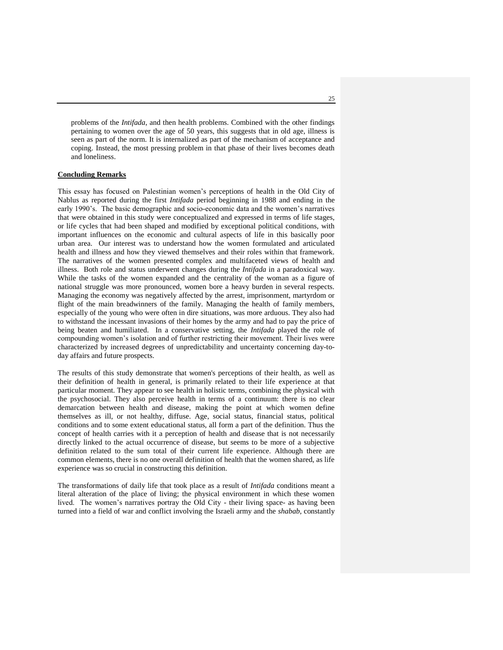problems of the *Intifada*, and then health problems. Combined with the other findings pertaining to women over the age of 50 years, this suggests that in old age, illness is seen as part of the norm. It is internalized as part of the mechanism of acceptance and coping. Instead, the most pressing problem in that phase of their lives becomes death and loneliness.

## **Concluding Remarks**

This essay has focused on Palestinian women"s perceptions of health in the Old City of Nablus as reported during the first *Intifada* period beginning in 1988 and ending in the early 1990's. The basic demographic and socio-economic data and the women's narratives that were obtained in this study were conceptualized and expressed in terms of life stages, or life cycles that had been shaped and modified by exceptional political conditions, with important influences on the economic and cultural aspects of life in this basically poor urban area. Our interest was to understand how the women formulated and articulated health and illness and how they viewed themselves and their roles within that framework. The narratives of the women presented complex and multifaceted views of health and illness. Both role and status underwent changes during the *Intifada* in a paradoxical way. While the tasks of the women expanded and the centrality of the woman as a figure of national struggle was more pronounced, women bore a heavy burden in several respects. Managing the economy was negatively affected by the arrest, imprisonment, martyrdom or flight of the main breadwinners of the family. Managing the health of family members, especially of the young who were often in dire situations, was more arduous. They also had to withstand the incessant invasions of their homes by the army and had to pay the price of being beaten and humiliated. In a conservative setting, the *Intifada* played the role of compounding women"s isolation and of further restricting their movement. Their lives were characterized by increased degrees of unpredictability and uncertainty concerning day-today affairs and future prospects.

The results of this study demonstrate that women's perceptions of their health, as well as their definition of health in general, is primarily related to their life experience at that particular moment. They appear to see health in holistic terms, combining the physical with the psychosocial. They also perceive health in terms of a continuum: there is no clear demarcation between health and disease, making the point at which women define themselves as ill, or not healthy, diffuse. Age, social status, financial status, political conditions and to some extent educational status, all form a part of the definition. Thus the concept of health carries with it a perception of health and disease that is not necessarily directly linked to the actual occurrence of disease, but seems to be more of a subjective definition related to the sum total of their current life experience. Although there are common elements, there is no one overall definition of health that the women shared, as life experience was so crucial in constructing this definition.

The transformations of daily life that took place as a result of *Intifada* conditions meant a literal alteration of the place of living; the physical environment in which these women lived. The women"s narratives portray the Old City - their living space- as having been turned into a field of war and conflict involving the Israeli army and the *shabab*, constantly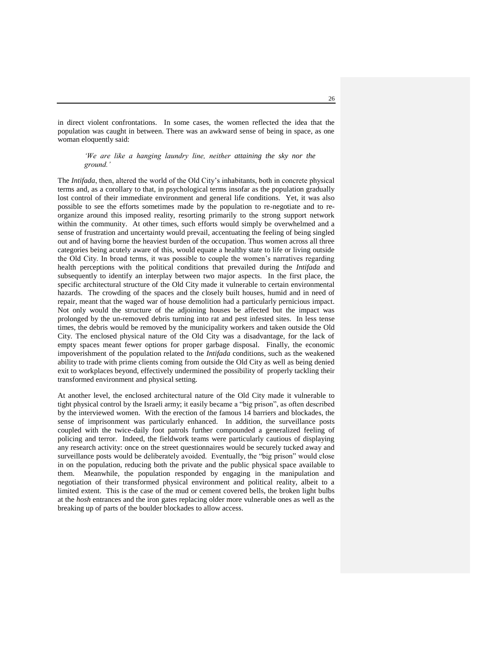in direct violent confrontations. In some cases, the women reflected the idea that the population was caught in between. There was an awkward sense of being in space, as one woman eloquently said:

*'We are like a hanging laundry line, neither attaining the sky nor the ground.'* 

The *Intifada*, then, altered the world of the Old City's inhabitants, both in concrete physical terms and, as a corollary to that, in psychological terms insofar as the population gradually lost control of their immediate environment and general life conditions. Yet, it was also possible to see the efforts sometimes made by the population to re-negotiate and to reorganize around this imposed reality, resorting primarily to the strong support network within the community. At other times, such efforts would simply be overwhelmed and a sense of frustration and uncertainty would prevail, accentuating the feeling of being singled out and of having borne the heaviest burden of the occupation. Thus women across all three categories being acutely aware of this, would equate a healthy state to life or living outside the Old City. In broad terms, it was possible to couple the women"s narratives regarding health perceptions with the political conditions that prevailed during the *Intifada* and subsequently to identify an interplay between two major aspects. In the first place, the specific architectural structure of the Old City made it vulnerable to certain environmental hazards. The crowding of the spaces and the closely built houses, humid and in need of repair, meant that the waged war of house demolition had a particularly pernicious impact. Not only would the structure of the adjoining houses be affected but the impact was prolonged by the un-removed debris turning into rat and pest infested sites. In less tense times, the debris would be removed by the municipality workers and taken outside the Old City. The enclosed physical nature of the Old City was a disadvantage, for the lack of empty spaces meant fewer options for proper garbage disposal. Finally, the economic impoverishment of the population related to the *Intifada* conditions, such as the weakened ability to trade with prime clients coming from outside the Old City as well as being denied exit to workplaces beyond, effectively undermined the possibility of properly tackling their transformed environment and physical setting.

At another level, the enclosed architectural nature of the Old City made it vulnerable to tight physical control by the Israeli army; it easily became a "big prison", as often described by the interviewed women. With the erection of the famous 14 barriers and blockades, the sense of imprisonment was particularly enhanced. In addition, the surveillance posts coupled with the twice-daily foot patrols further compounded a generalized feeling of policing and terror. Indeed, the fieldwork teams were particularly cautious of displaying any research activity: once on the street questionnaires would be securely tucked away and surveillance posts would be deliberately avoided. Eventually, the "big prison" would close in on the population, reducing both the private and the public physical space available to them. Meanwhile, the population responded by engaging in the manipulation and negotiation of their transformed physical environment and political reality, albeit to a limited extent. This is the case of the mud or cement covered bells, the broken light bulbs at the *hosh* entrances and the iron gates replacing older more vulnerable ones as well as the breaking up of parts of the boulder blockades to allow access.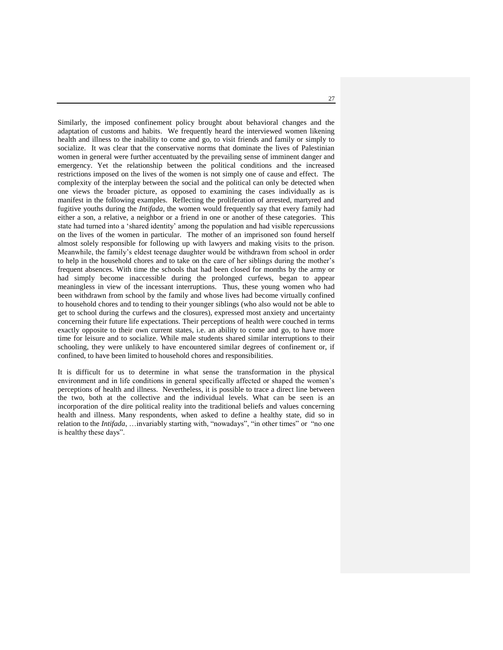Similarly, the imposed confinement policy brought about behavioral changes and the adaptation of customs and habits. We frequently heard the interviewed women likening health and illness to the inability to come and go, to visit friends and family or simply to socialize. It was clear that the conservative norms that dominate the lives of Palestinian women in general were further accentuated by the prevailing sense of imminent danger and emergency. Yet the relationship between the political conditions and the increased restrictions imposed on the lives of the women is not simply one of cause and effect. The complexity of the interplay between the social and the political can only be detected when one views the broader picture, as opposed to examining the cases individually as is manifest in the following examples. Reflecting the proliferation of arrested, martyred and fugitive youths during the *Intifada*, the women would frequently say that every family had either a son, a relative, a neighbor or a friend in one or another of these categories. This state had turned into a "shared identity" among the population and had visible repercussions on the lives of the women in particular. The mother of an imprisoned son found herself almost solely responsible for following up with lawyers and making visits to the prison. Meanwhile, the family"s eldest teenage daughter would be withdrawn from school in order to help in the household chores and to take on the care of her siblings during the mother"s frequent absences. With time the schools that had been closed for months by the army or had simply become inaccessible during the prolonged curfews, began to appear meaningless in view of the incessant interruptions. Thus, these young women who had been withdrawn from school by the family and whose lives had become virtually confined to household chores and to tending to their younger siblings (who also would not be able to get to school during the curfews and the closures), expressed most anxiety and uncertainty concerning their future life expectations. Their perceptions of health were couched in terms exactly opposite to their own current states, i.e. an ability to come and go, to have more time for leisure and to socialize. While male students shared similar interruptions to their schooling, they were unlikely to have encountered similar degrees of confinement or, if confined, to have been limited to household chores and responsibilities.

It is difficult for us to determine in what sense the transformation in the physical environment and in life conditions in general specifically affected or shaped the women"s perceptions of health and illness. Nevertheless, it is possible to trace a direct line between the two, both at the collective and the individual levels. What can be seen is an incorporation of the dire political reality into the traditional beliefs and values concerning health and illness. Many respondents, when asked to define a healthy state, did so in relation to the *Intifada*, …invariably starting with, "nowadays", "in other times" or "no one is healthy these days".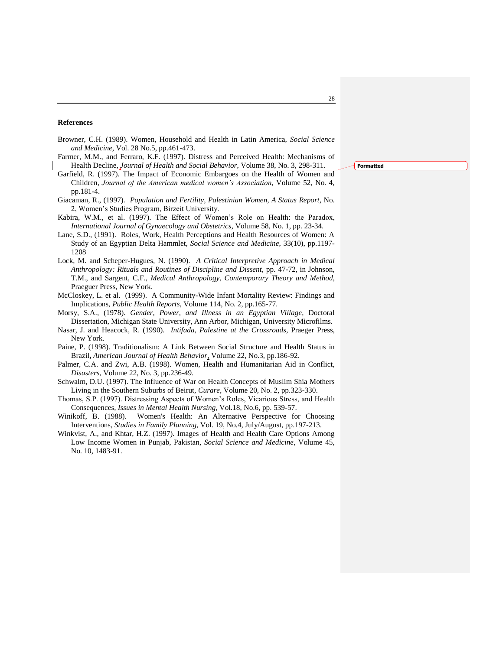#### **References**

- Browner, C.H. (1989). Women, Household and Health in Latin America, *Social Science and Medicine*, Vol. 28 No.5, pp.461-473.
- Farmer, M.M., and Ferraro, K.F. (1997). Distress and Perceived Health: Mechanisms of Health Decline, *Journal of Health and Social Behavior*, Volume 38, No. 3, 298-311.
- Garfield, R. (1997). The Impact of Economic Embargoes on the Health of Women and Children, *Journal of the American medical women's Association*, Volume 52, No. 4, pp.181-4.
- Giacaman, R., (1997). *Population and Fertility, Palestinian Women, A Status Report*, No. 2, Women"s Studies Program, Birzeit University.
- Kabira, W.M., et al. (1997). The Effect of Women's Role on Health: the Paradox, *International Journal of Gynaecology and Obstetrics*, Volume 58, No. 1, pp. 23-34.
- Lane, S.D., (1991). Roles, Work, Health Perceptions and Health Resources of Women: A Study of an Egyptian Delta Hammlet, *Social Science and Medicine*, 33(10), pp.1197- 1208
- Lock, M. and Scheper-Hugues, N. (1990). *A Critical Interpretive Approach in Medical Anthropology: Rituals and Routines of Discipline and Dissent*, pp. 47-72, in Johnson, T.M., and Sargent, C.F., *Medical Anthropology, Contemporary Theory and Method*, Praeguer Press, New York.
- McCloskey, L. et al. (1999). A Community-Wide Infant Mortality Review: Findings and Implications, *Public Health Reports*, Volume 114, No. 2, pp.165-77.
- Morsy, S.A., (1978). *Gender, Power, and Illness in an Egyptian Village*, Doctoral Dissertation, Michigan State University, Ann Arbor, Michigan, University Microfilms.
- Nasar, J. and Heacock, R. (1990). *Intifada, Palestine at the Crossroads*, Praeger Press, New York.
- Paine, P. (1998). Traditionalism: A Link Between Social Structure and Health Status in Brazil**,** *American Journal of Health Behavior*, Volume 22, No.3, pp.186-92.
- Palmer, C.A. and Zwi, A.B. (1998). Women, Health and Humanitarian Aid in Conflict, *Disasters*, Volume 22, No. 3, pp.236-49.
- Schwalm, D.U. (1997). The Influence of War on Health Concepts of Muslim Shia Mothers Living in the Southern Suburbs of Beirut, *Curare*, Volume 20, No. 2, pp.323-330.
- Thomas, S.P. (1997). Distressing Aspects of Women"s Roles, Vicarious Stress, and Health Consequences*, Issues in Mental Health Nursing*, Vol.18, No.6, pp. 539-57.
- Winikoff, B. (1988). Women's Health: An Alternative Perspective for Choosing Interventions, *Studies in Family Planning*, Vol. 19, No.4, July/August, pp.197-213.
- Winkvist, A., and Khtar, H.Z. (1997). Images of Health and Health Care Options Among Low Income Women in Punjab, Pakistan, *Social Science and Medicine*, Volume 45, No. 10, 1483-91.

**Formatted**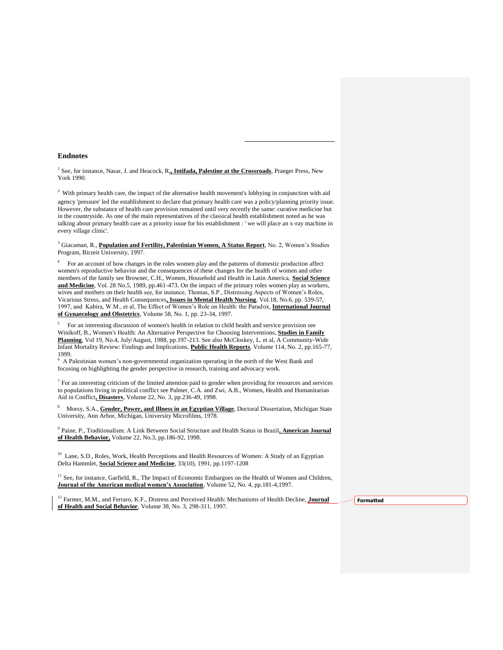#### **Endnotes**

<sup>1</sup> See, for instance, Nasar, J. and Heacock, R., Intifada, Palestine at the Crossroads, Praeger Press, New York 1990.

1

<sup>2</sup> With primary health care, the impact of the alternative health movement's lobbying in conjunction with aid agency 'pressure' led the establishment to declare that primary health care was a policy/planning priority issue. However, the substance of health care provision remained until very recently the same: curative medicine but in the countryside. As one of the main representatives of the classical health establishment noted as he was talking about primary health care as a priority issue for his establishment : ' we will place an x-ray machine in every village clinic'.

<sup>3</sup> Giacaman, R., **Population and Fertility, Palestinian Women, A Status Report**, No. 2, Women"s Studies Program, Birzeit University, 1997.

4 For an account of how changes in the roles women play and the patterns of domestic production affect women's reproductive behavior and the consequences of these changes for the health of women and other members of the family see Browner, C.H., Women, Household and Health in Latin America, **Social Science and Medicine**, Vol. 28 No.5, 1989, pp.461-473. On the impact of the primary roles women play as workers, wives and mothers on their health see, for instance, Thomas, S.P., Distressing Aspects of Women's Roles, Vicarious Stress, and Health Consequences**, Issues in Mental Health Nursing**, Vol.18, No.6, pp. 539-57, 1997, and Kabira, W.M., et al, The Effect of Women"s Role on Health: the Paradox, **International Journal of Gynaecology and Obstetrics**, Volume 58, No. 1, pp. 23-34, 1997.

5 For an interesting discussion of women's health in relation to child health and service provision see Winikoff, B., Women's Health: An Alternative Perspective for Choosing Interventions, **Studies in Family Planning**, Vol 19, No.4, July/August, 1988, pp.197-213. See also McCloskey, L. et al, A Community-Wide Infant Mortality Review: Findings and Implications, **Public Health Reports**, Volume 114, No. 2, pp.165-77, 1999.

6 A Palestinian women"s non-governmental organization operating in the north of the West Bank and focusing on highlighting the gender perspective in research, training and advocacy work.

<sup>7</sup> For an interesting criticism of the limited attention paid to gender when providing for resources and services to populations living in political conflict see Palmer, C.A. and Zwi, A.B., Women, Health and Humanitarian Aid in Conflict**, Disasters**, Volume 22, No. 3, pp.236-49, 1998.

<sup>8</sup> Morsy, S.A., **Gender, Power, and Illness in an Egyptian Village**, Doctoral Dissertation, Michigan State University, Ann Arbor, Michigan, University Microfilms, 1978.

9 Paine, P., Traditionalism: A Link Between Social Structure and Health Status in Brazil**, American Journal of Health Behavior,** Volume 22, No.3, pp.186-92, 1998.

<sup>10</sup> Lane, S.D., Roles, Work, Health Perceptions and Health Resources of Women: A Study of an Egyptian Delta Hammlet, **Social Science and Medicine**, 33(10), 1991, pp.1197-1208

<sup>11</sup> See, for instance, Garfield, R., The Impact of Economic Embargoes on the Health of Women and Children, **Journal of the American medical women's Association**, Volume 52, No. 4, pp.181-4,1997.

<sup>12</sup> Farmer, M.M., and Ferraro, K.F., Distress and Perceived Health: Mechanisms of Health Decline, *Journal* **of Health and Social Behavior**, Volume 38, No. 3, 298-311, 1997.

**Formatted**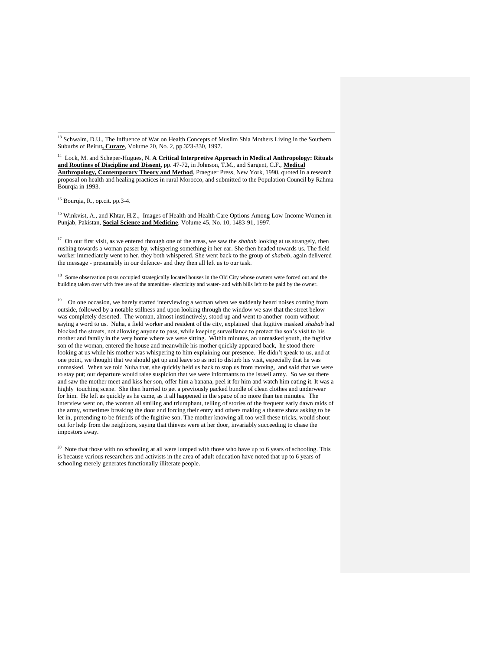<sup>13</sup> Schwalm, D.U., The Influence of War on Health Concepts of Muslim Shia Mothers Living in the Southern Suburbs of Beirut**, Curare**, Volume 20, No. 2, pp.323-330, 1997.

<sup>14</sup> Lock, M. and Scheper-Hugues, N. **A Critical Interpretive Approach in Medical Anthropology: Rituals and Routines of Discipline and Dissent**, pp. 47-72, in Johnson, T.M., and Sargent, C.F., **Medical Anthropology, Contemporary Theory and Method**, Praeguer Press, New York, 1990, quoted in a research proposal on health and healing practices in rural Morocco, and submitted to the Population Council by Rahma Bourgia in 1993.

<sup>15</sup> Bourqia, R., op.cit. pp.3-4.

<sup>16</sup> Winkvist, A., and Khtar, H.Z., Images of Health and Health Care Options Among Low Income Women in Punjab, Pakistan, **Social Science and Medicine**, Volume 45, No. 10, 1483-91, 1997.

<sup>17</sup> On our first visit, as we entered through one of the areas, we saw the *shabab* looking at us strangely, then rushing towards a woman passer by, whispering something in her ear. She then headed towards us. The field worker immediately went to her, they both whispered. She went back to the group of *shabab*, again delivered the message - presumably in our defence- and they then all left us to our task.

<sup>18</sup> Some observation posts occupied strategically located houses in the Old City whose owners were forced out and the building taken over with free use of the amenities- electricity and water- and with bills left to be paid by the owner.

<sup>19</sup> On one occasion, we barely started interviewing a woman when we suddenly heard noises coming from outside, followed by a notable stillness and upon looking through the window we saw that the street below was completely deserted. The woman, almost instinctively, stood up and went to another room without saying a word to us. Nuha, a field worker and resident of the city, explained that fugitive masked *shabab* had blocked the streets, not allowing anyone to pass, while keeping surveillance to protect the son"s visit to his mother and family in the very home where we were sitting. Within minutes, an unmasked youth, the fugitive son of the woman, entered the house and meanwhile his mother quickly appeared back, he stood there looking at us while his mother was whispering to him explaining our presence. He didn"t speak to us, and at one point, we thought that we should get up and leave so as not to disturb his visit, especially that he was unmasked. When we told Nuha that, she quickly held us back to stop us from moving, and said that we were to stay put; our departure would raise suspicion that we were informants to the Israeli army. So we sat there and saw the mother meet and kiss her son, offer him a banana, peel it for him and watch him eating it. It was a highly touching scene. She then hurried to get a previously packed bundle of clean clothes and underwear for him. He left as quickly as he came, as it all happened in the space of no more than ten minutes. The interview went on, the woman all smiling and triumphant, telling of stories of the frequent early dawn raids of the army, sometimes breaking the door and forcing their entry and others making a theatre show asking to be let in, pretending to be friends of the fugitive son. The mother knowing all too well these tricks, would shout out for help from the neighbors, saying that thieves were at her door, invariably succeeding to chase the impostors away.

<sup>20</sup> Note that those with no schooling at all were lumped with those who have up to 6 years of schooling. This is because various researchers and activists in the area of adult education have noted that up to 6 years of schooling merely generates functionally illiterate people.